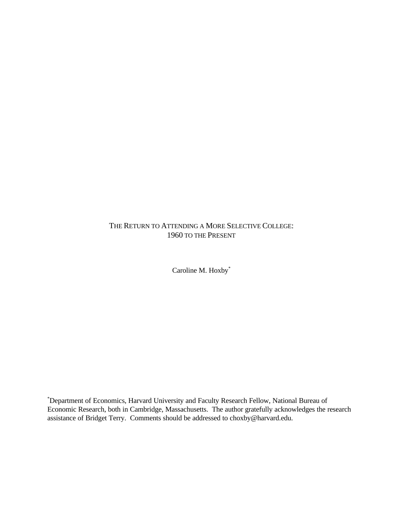## THE RETURN TO ATTENDING A MORE SELECTIVE COLLEGE: 1960 TO THE PRESENT

Caroline M. Hoxby\*

\*Department of Economics, Harvard University and Faculty Research Fellow, National Bureau of Economic Research, both in Cambridge, Massachusetts. The author gratefully acknowledges the research assistance of Bridget Terry. Comments should be addressed to choxby@harvard.edu.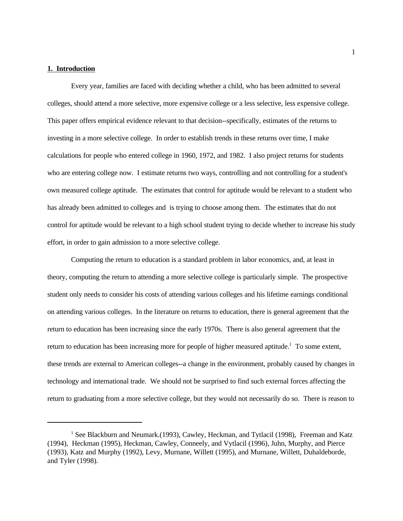## **1. Introduction**

Every year, families are faced with deciding whether a child, who has been admitted to several colleges, should attend a more selective, more expensive college or a less selective, less expensive college. This paper offers empirical evidence relevant to that decision--specifically, estimates of the returns to investing in a more selective college. In order to establish trends in these returns over time, I make calculations for people who entered college in 1960, 1972, and 1982. I also project returns for students who are entering college now. I estimate returns two ways, controlling and not controlling for a student's own measured college aptitude. The estimates that control for aptitude would be relevant to a student who has already been admitted to colleges and is trying to choose among them. The estimates that do not control for aptitude would be relevant to a high school student trying to decide whether to increase his study effort, in order to gain admission to a more selective college.

Computing the return to education is a standard problem in labor economics, and, at least in theory, computing the return to attending a more selective college is particularly simple. The prospective student only needs to consider his costs of attending various colleges and his lifetime earnings conditional on attending various colleges. In the literature on returns to education, there is general agreement that the return to education has been increasing since the early 1970s. There is also general agreement that the return to education has been increasing more for people of higher measured aptitude.<sup>1</sup> To some extent, these trends are external to American colleges--a change in the environment, probably caused by changes in technology and international trade. We should not be surprised to find such external forces affecting the return to graduating from a more selective college, but they would not necessarily do so. There is reason to

<sup>&</sup>lt;sup>1</sup> See Blackburn and Neumark.(1993), Cawley, Heckman, and Tytlacil (1998), Freeman and Katz (1994), Heckman (1995), Heckman, Cawley, Conneely, and Vytlacil (1996), Juhn, Murphy, and Pierce (1993), Katz and Murphy (1992), Levy, Murnane, Willett (1995), and Murnane, Willett, Duhaldeborde, and Tyler (1998).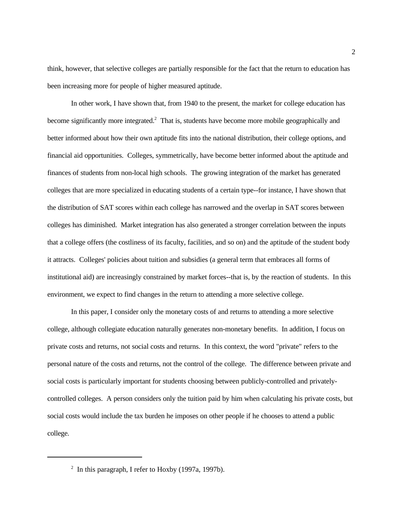think, however, that selective colleges are partially responsible for the fact that the return to education has been increasing more for people of higher measured aptitude.

In other work, I have shown that, from 1940 to the present, the market for college education has become significantly more integrated.<sup>2</sup> That is, students have become more mobile geographically and better informed about how their own aptitude fits into the national distribution, their college options, and financial aid opportunities. Colleges, symmetrically, have become better informed about the aptitude and finances of students from non-local high schools. The growing integration of the market has generated colleges that are more specialized in educating students of a certain type--for instance, I have shown that the distribution of SAT scores within each college has narrowed and the overlap in SAT scores between colleges has diminished. Market integration has also generated a stronger correlation between the inputs that a college offers (the costliness of its faculty, facilities, and so on) and the aptitude of the student body it attracts. Colleges' policies about tuition and subsidies (a general term that embraces all forms of institutional aid) are increasingly constrained by market forces--that is, by the reaction of students. In this environment, we expect to find changes in the return to attending a more selective college.

In this paper, I consider only the monetary costs of and returns to attending a more selective college, although collegiate education naturally generates non-monetary benefits. In addition, I focus on private costs and returns, not social costs and returns. In this context, the word "private" refers to the personal nature of the costs and returns, not the control of the college. The difference between private and social costs is particularly important for students choosing between publicly-controlled and privatelycontrolled colleges. A person considers only the tuition paid by him when calculating his private costs, but social costs would include the tax burden he imposes on other people if he chooses to attend a public college.

 $2$  In this paragraph, I refer to Hoxby (1997a, 1997b).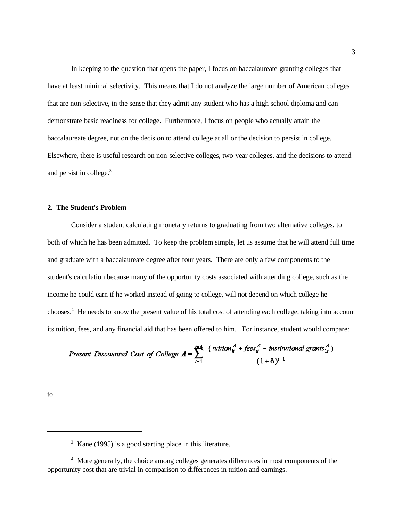In keeping to the question that opens the paper, I focus on baccalaureate-granting colleges that have at least minimal selectivity. This means that I do not analyze the large number of American colleges that are non-selective, in the sense that they admit any student who has a high school diploma and can demonstrate basic readiness for college. Furthermore, I focus on people who actually attain the baccalaureate degree, not on the decision to attend college at all or the decision to persist in college. Elsewhere, there is useful research on non-selective colleges, two-year colleges, and the decisions to attend and persist in college.<sup>3</sup>

## **2. The Student's Problem**

Consider a student calculating monetary returns to graduating from two alternative colleges, to both of which he has been admitted. To keep the problem simple, let us assume that he will attend full time and graduate with a baccalaureate degree after four years. There are only a few components to the student's calculation because many of the opportunity costs associated with attending college, such as the income he could earn if he worked instead of going to college, will not depend on which college he chooses.<sup>4</sup> He needs to know the present value of his total cost of attending each college, taking into account its tuition, fees, and any financial aid that has been offered to him. For instance, student would compare:

*Present Discounted Cost of College* 
$$
A = \sum_{t=1}^{t-4} \frac{(tution_{it}^{A} + fees_{it}^{A} - institutional grants_{it}^{A})}{(1 + \delta)^{t-1}}
$$

to

 $3 \text{ Kane}$  (1995) is a good starting place in this literature.

<sup>&</sup>lt;sup>4</sup> More generally, the choice among colleges generates differences in most components of the opportunity cost that are trivial in comparison to differences in tuition and earnings.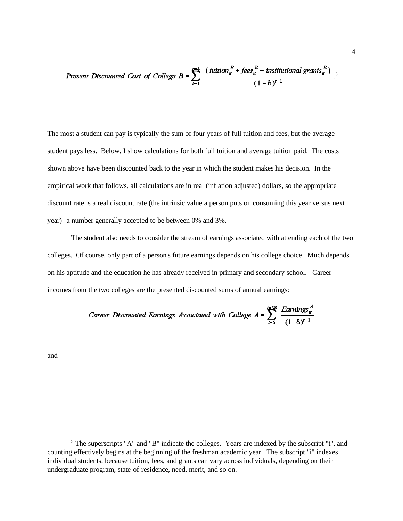*Present Discounted Cost of College* 
$$
B = \sum_{t=1}^{t=4} \frac{(tution_{it}^{B} + fees_{it}^{B} - institutional \textit{ grants}_{it}^{B})}{(1+\delta)^{t-1}}.
$$

The most a student can pay is typically the sum of four years of full tuition and fees, but the average student pays less. Below, I show calculations for both full tuition and average tuition paid. The costs shown above have been discounted back to the year in which the student makes his decision. In the empirical work that follows, all calculations are in real (inflation adjusted) dollars, so the appropriate discount rate is a real discount rate (the intrinsic value a person puts on consuming this year versus next year)--a number generally accepted to be between 0% and 3%.

The student also needs to consider the stream of earnings associated with attending each of the two colleges. Of course, only part of a person's future earnings depends on his college choice. Much depends on his aptitude and the education he has already received in primary and secondary school. Career incomes from the two colleges are the presented discounted sums of annual earnings:

*Career Discounted Earnings Associated with College* 
$$
A = \sum_{t=5}^{t=38} \frac{Earnings_t^A}{(1+\delta)^{t-1}}
$$

and

<sup>&</sup>lt;sup>5</sup> The superscripts "A" and "B" indicate the colleges. Years are indexed by the subscript "t", and counting effectively begins at the beginning of the freshman academic year. The subscript "i" indexes individual students, because tuition, fees, and grants can vary across individuals, depending on their undergraduate program, state-of-residence, need, merit, and so on.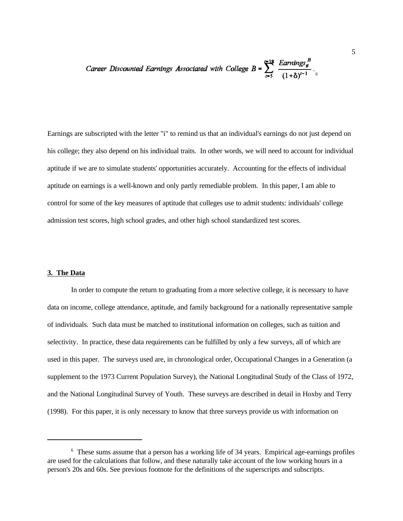# *Career Discounted Earnings Associated with College B* =  $\sum_{t=5}^{t=38} \frac{Earnings_{it}^B}{(1+\delta)^{t-1}}$ .

Earnings are subscripted with the letter "i" to remind us that an individual's earnings do not just depend on his college; they also depend on his individual traits. In other words, we will need to account for individual aptitude if we are to simulate students' opportunities accurately. Accounting for the effects of individual aptitude on earnings is a well-known and only partly remediable problem. In this paper, I am able to control for some of the key measures of aptitude that colleges use to admit students: individuals' college admission test scores, high school grades, and other high school standardized test scores.

## **3. The Data**

In order to compute the return to graduating from a more selective college, it is necessary to have data on income, college attendance, aptitude, and family background for a nationally representative sample of individuals. Such data must be matched to institutional information on colleges, such as tuition and selectivity. In practice, these data requirements can be fulfilled by only a few surveys, all of which are used in this paper. The surveys used are, in chronological order, Occupational Changes in a Generation (a supplement to the 1973 Current Population Survey), the National Longitudinal Study of the Class of 1972, and the National Longitudinal Survey of Youth. These surveys are described in detail in Hoxby and Terry (1998). For this paper, it is only necessary to know that three surveys provide us with information on

<sup>&</sup>lt;sup>6</sup> These sums assume that a person has a working life of 34 years. Empirical age-earnings profiles are used for the calculations that follow, and these naturally take account of the low working hours in a person's 20s and 60s. See previous footnote for the definitions of the superscripts and subscripts.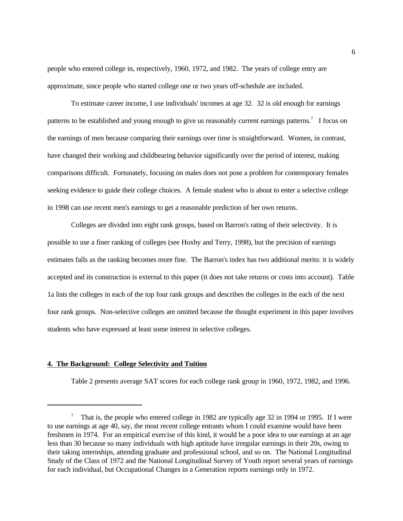people who entered college in, respectively, 1960, 1972, and 1982. The years of college entry are approximate, since people who started college one or two years off-schedule are included.

To estimate career income, I use individuals' incomes at age 32. 32 is old enough for earnings patterns to be established and young enough to give us reasonably current earnings patterns.<sup>7</sup> I focus on the earnings of men because comparing their earnings over time is straightforward. Women, in contrast, have changed their working and childbearing behavior significantly over the period of interest, making comparisons difficult. Fortunately, focusing on males does not pose a problem for contemporary females seeking evidence to guide their college choices. A female student who is about to enter a selective college in 1998 can use recent men's earnings to get a reasonable prediction of her own returns.

Colleges are divided into eight rank groups, based on Barron's rating of their selectivity. It is possible to use a finer ranking of colleges (see Hoxby and Terry, 1998), but the precision of earnings estimates falls as the ranking becomes more fine. The Barron's index has two additional merits: it is widely accepted and its construction is external to this paper (it does not take returns or costs into account). Table 1a lists the colleges in each of the top four rank groups and describes the colleges in the each of the next four rank groups. Non-selective colleges are omitted because the thought experiment in this paper involves students who have expressed at least some interest in selective colleges.

#### **4. The Background: College Selectivity and Tuition**

Table 2 presents average SAT scores for each college rank group in 1960, 1972, 1982, and 1996.

<sup>&</sup>lt;sup>7</sup> That is, the people who entered college in 1982 are typically age 32 in 1994 or 1995. If I were to use earnings at age 40, say, the most recent college entrants whom I could examine would have been freshmen in 1974. For an empirical exercise of this kind, it would be a poor idea to use earnings at an age less than 30 because so many individuals with high aptitude have irregular earnings in their 20s, owing to their taking internships, attending graduate and professional school, and so on. The National Longitudinal Study of the Class of 1972 and the National Longitudinal Survey of Youth report several years of earnings for each individual, but Occupational Changes in a Generation reports earnings only in 1972.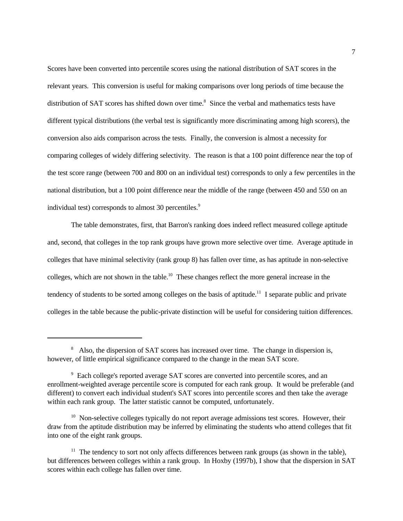Scores have been converted into percentile scores using the national distribution of SAT scores in the relevant years. This conversion is useful for making comparisons over long periods of time because the distribution of SAT scores has shifted down over time.<sup>8</sup> Since the verbal and mathematics tests have different typical distributions (the verbal test is significantly more discriminating among high scorers), the conversion also aids comparison across the tests. Finally, the conversion is almost a necessity for comparing colleges of widely differing selectivity. The reason is that a 100 point difference near the top of the test score range (between 700 and 800 on an individual test) corresponds to only a few percentiles in the national distribution, but a 100 point difference near the middle of the range (between 450 and 550 on an individual test) corresponds to almost 30 percentiles.<sup>9</sup>

The table demonstrates, first, that Barron's ranking does indeed reflect measured college aptitude and, second, that colleges in the top rank groups have grown more selective over time. Average aptitude in colleges that have minimal selectivity (rank group 8) has fallen over time, as has aptitude in non-selective colleges, which are not shown in the table.<sup>10</sup> These changes reflect the more general increase in the tendency of students to be sorted among colleges on the basis of aptitude.<sup>11</sup> I separate public and private colleges in the table because the public-private distinction will be useful for considering tuition differences.

<sup>&</sup>lt;sup>8</sup> Also, the dispersion of SAT scores has increased over time. The change in dispersion is, however, of little empirical significance compared to the change in the mean SAT score.

<sup>&</sup>lt;sup>9</sup> Each college's reported average SAT scores are converted into percentile scores, and an enrollment-weighted average percentile score is computed for each rank group. It would be preferable (and different) to convert each individual student's SAT scores into percentile scores and then take the average within each rank group. The latter statistic cannot be computed, unfortunately.

 $10\,$  Non-selective colleges typically do not report average admissions test scores. However, their draw from the aptitude distribution may be inferred by eliminating the students who attend colleges that fit into one of the eight rank groups.

 $11$  The tendency to sort not only affects differences between rank groups (as shown in the table), but differences between colleges within a rank group. In Hoxby (1997b), I show that the dispersion in SAT scores within each college has fallen over time.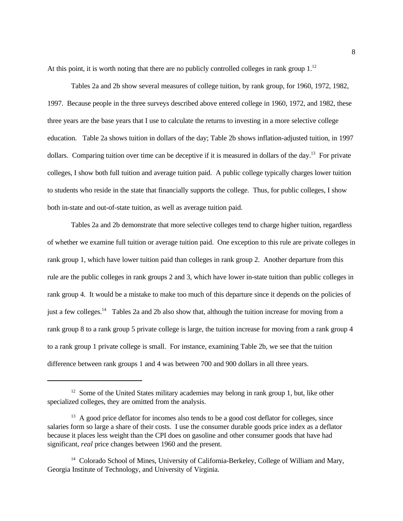At this point, it is worth noting that there are no publicly controlled colleges in rank group  $1<sup>12</sup>$ 

Tables 2a and 2b show several measures of college tuition, by rank group, for 1960, 1972, 1982, 1997. Because people in the three surveys described above entered college in 1960, 1972, and 1982, these three years are the base years that I use to calculate the returns to investing in a more selective college education. Table 2a shows tuition in dollars of the day; Table 2b shows inflation-adjusted tuition, in 1997 dollars. Comparing tuition over time can be deceptive if it is measured in dollars of the day.<sup>13</sup> For private colleges, I show both full tuition and average tuition paid. A public college typically charges lower tuition to students who reside in the state that financially supports the college. Thus, for public colleges, I show both in-state and out-of-state tuition, as well as average tuition paid.

Tables 2a and 2b demonstrate that more selective colleges tend to charge higher tuition, regardless of whether we examine full tuition or average tuition paid. One exception to this rule are private colleges in rank group 1, which have lower tuition paid than colleges in rank group 2. Another departure from this rule are the public colleges in rank groups 2 and 3, which have lower in-state tuition than public colleges in rank group 4. It would be a mistake to make too much of this departure since it depends on the policies of just a few colleges.<sup>14</sup> Tables 2a and 2b also show that, although the tuition increase for moving from a rank group 8 to a rank group 5 private college is large, the tuition increase for moving from a rank group 4 to a rank group 1 private college is small. For instance, examining Table 2b, we see that the tuition difference between rank groups 1 and 4 was between 700 and 900 dollars in all three years.

 $12$  Some of the United States military academies may belong in rank group 1, but, like other specialized colleges, they are omitted from the analysis.

<sup>&</sup>lt;sup>13</sup> A good price deflator for incomes also tends to be a good cost deflator for colleges, since salaries form so large a share of their costs. I use the consumer durable goods price index as a deflator because it places less weight than the CPI does on gasoline and other consumer goods that have had significant, *real* price changes between 1960 and the present.

<sup>&</sup>lt;sup>14</sup> Colorado School of Mines, University of California-Berkeley, College of William and Mary, Georgia Institute of Technology, and University of Virginia.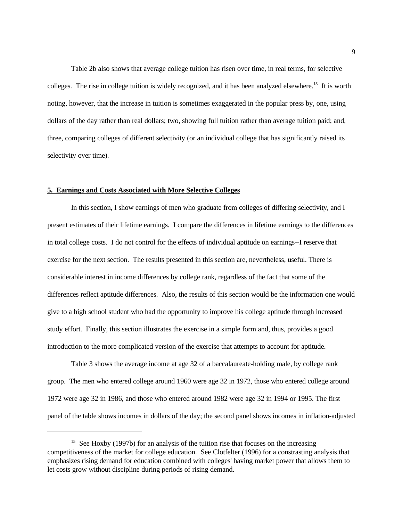Table 2b also shows that average college tuition has risen over time, in real terms, for selective colleges. The rise in college tuition is widely recognized, and it has been analyzed elsewhere.<sup>15</sup> It is worth noting, however, that the increase in tuition is sometimes exaggerated in the popular press by, one, using dollars of the day rather than real dollars; two, showing full tuition rather than average tuition paid; and, three, comparing colleges of different selectivity (or an individual college that has significantly raised its selectivity over time).

#### **5. Earnings and Costs Associated with More Selective Colleges**

In this section, I show earnings of men who graduate from colleges of differing selectivity, and I present estimates of their lifetime earnings. I compare the differences in lifetime earnings to the differences in total college costs. I do not control for the effects of individual aptitude on earnings--I reserve that exercise for the next section. The results presented in this section are, nevertheless, useful. There is considerable interest in income differences by college rank, regardless of the fact that some of the differences reflect aptitude differences. Also, the results of this section would be the information one would give to a high school student who had the opportunity to improve his college aptitude through increased study effort. Finally, this section illustrates the exercise in a simple form and, thus, provides a good introduction to the more complicated version of the exercise that attempts to account for aptitude.

Table 3 shows the average income at age 32 of a baccalaureate-holding male, by college rank group. The men who entered college around 1960 were age 32 in 1972, those who entered college around 1972 were age 32 in 1986, and those who entered around 1982 were age 32 in 1994 or 1995. The first panel of the table shows incomes in dollars of the day; the second panel shows incomes in inflation-adjusted

<sup>&</sup>lt;sup>15</sup> See Hoxby (1997b) for an analysis of the tuition rise that focuses on the increasing competitiveness of the market for college education. See Clotfelter (1996) for a constrasting analysis that emphasizes rising demand for education combined with colleges' having market power that allows them to let costs grow without discipline during periods of rising demand.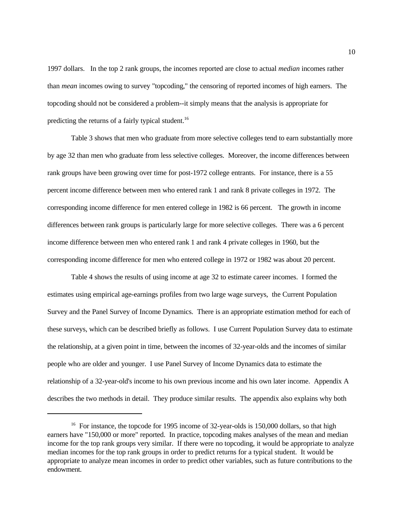1997 dollars. In the top 2 rank groups, the incomes reported are close to actual *median* incomes rather than *mean* incomes owing to survey "topcoding," the censoring of reported incomes of high earners. The topcoding should not be considered a problem--it simply means that the analysis is appropriate for predicting the returns of a fairly typical student.<sup>16</sup>

Table 3 shows that men who graduate from more selective colleges tend to earn substantially more by age 32 than men who graduate from less selective colleges. Moreover, the income differences between rank groups have been growing over time for post-1972 college entrants. For instance, there is a 55 percent income difference between men who entered rank 1 and rank 8 private colleges in 1972. The corresponding income difference for men entered college in 1982 is 66 percent. The growth in income differences between rank groups is particularly large for more selective colleges. There was a 6 percent income difference between men who entered rank 1 and rank 4 private colleges in 1960, but the corresponding income difference for men who entered college in 1972 or 1982 was about 20 percent.

Table 4 shows the results of using income at age 32 to estimate career incomes. I formed the estimates using empirical age-earnings profiles from two large wage surveys, the Current Population Survey and the Panel Survey of Income Dynamics. There is an appropriate estimation method for each of these surveys, which can be described briefly as follows. I use Current Population Survey data to estimate the relationship, at a given point in time, between the incomes of 32-year-olds and the incomes of similar people who are older and younger. I use Panel Survey of Income Dynamics data to estimate the relationship of a 32-year-old's income to his own previous income and his own later income. Appendix A describes the two methods in detail. They produce similar results. The appendix also explains why both

<sup>&</sup>lt;sup>16</sup> For instance, the topcode for 1995 income of 32-year-olds is 150,000 dollars, so that high earners have "150,000 or more" reported. In practice, topcoding makes analyses of the mean and median income for the top rank groups very similar. If there were no topcoding, it would be appropriate to analyze median incomes for the top rank groups in order to predict returns for a typical student. It would be appropriate to analyze mean incomes in order to predict other variables, such as future contributions to the endowment.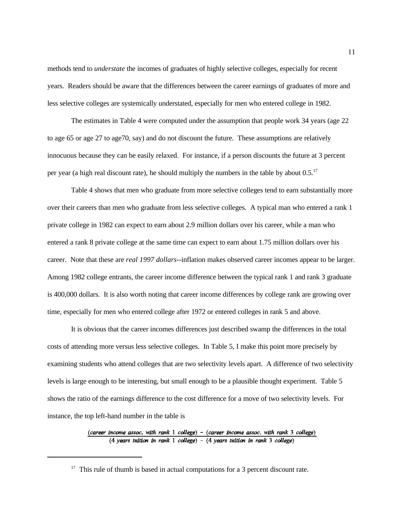methods tend to *understate* the incomes of graduates of highly selective colleges, especially for recent years. Readers should be aware that the differences between the career earnings of graduates of more and less selective colleges are systemically understated, especially for men who entered college in 1982.

The estimates in Table 4 were computed under the assumption that people work 34 years (age 22 to age 65 or age 27 to age70, say) and do not discount the future. These assumptions are relatively innocuous because they can be easily relaxed. For instance, if a person discounts the future at 3 percent per year (a high real discount rate), he should multiply the numbers in the table by about  $0.5$ .<sup>17</sup>

Table 4 shows that men who graduate from more selective colleges tend to earn substantially more over their careers than men who graduate from less selective colleges. A typical man who entered a rank 1 private college in 1982 can expect to earn about 2.9 million dollars over his career, while a man who entered a rank 8 private college at the same time can expect to earn about 1.75 million dollars over his career. Note that these are *real 1997 dollars*--inflation makes observed career incomes appear to be larger. Among 1982 college entrants, the career income difference between the typical rank 1 and rank 3 graduate is 400,000 dollars. It is also worth noting that career income differences by college rank are growing over time, especially for men who entered college after 1972 or entered colleges in rank 5 and above.

It is obvious that the career incomes differences just described swamp the differences in the total costs of attending more versus less selective colleges. In Table 5, I make this point more precisely by examining students who attend colleges that are two selectivity levels apart. A difference of two selectivity levels is large enough to be interesting, but small enough to be a plausible thought experiment. Table 5 shows the ratio of the earnings difference to the cost difference for a move of two selectivity levels. For instance, the top left-hand number in the table is

## (career income assoc. with rank 1 college) - (career income assoc. with rank 3 college) (4 years tuition in rank 1 college) - (4 years tuition in rank 3 college)

 $17$  This rule of thumb is based in actual computations for a 3 percent discount rate.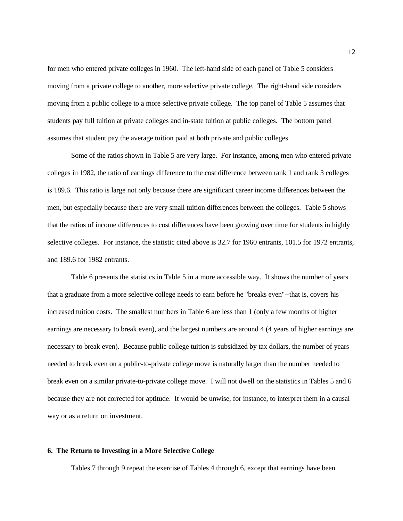for men who entered private colleges in 1960. The left-hand side of each panel of Table 5 considers moving from a private college to another, more selective private college. The right-hand side considers moving from a public college to a more selective private college. The top panel of Table 5 assumes that students pay full tuition at private colleges and in-state tuition at public colleges. The bottom panel assumes that student pay the average tuition paid at both private and public colleges.

Some of the ratios shown in Table 5 are very large. For instance, among men who entered private colleges in 1982, the ratio of earnings difference to the cost difference between rank 1 and rank 3 colleges is 189.6. This ratio is large not only because there are significant career income differences between the men, but especially because there are very small tuition differences between the colleges. Table 5 shows that the ratios of income differences to cost differences have been growing over time for students in highly selective colleges. For instance, the statistic cited above is 32.7 for 1960 entrants, 101.5 for 1972 entrants, and 189.6 for 1982 entrants.

Table 6 presents the statistics in Table 5 in a more accessible way. It shows the number of years that a graduate from a more selective college needs to earn before he "breaks even"--that is, covers his increased tuition costs. The smallest numbers in Table 6 are less than 1 (only a few months of higher earnings are necessary to break even), and the largest numbers are around 4 (4 years of higher earnings are necessary to break even). Because public college tuition is subsidized by tax dollars, the number of years needed to break even on a public-to-private college move is naturally larger than the number needed to break even on a similar private-to-private college move. I will not dwell on the statistics in Tables 5 and 6 because they are not corrected for aptitude. It would be unwise, for instance, to interpret them in a causal way or as a return on investment.

### **6. The Return to Investing in a More Selective College**

Tables 7 through 9 repeat the exercise of Tables 4 through 6, except that earnings have been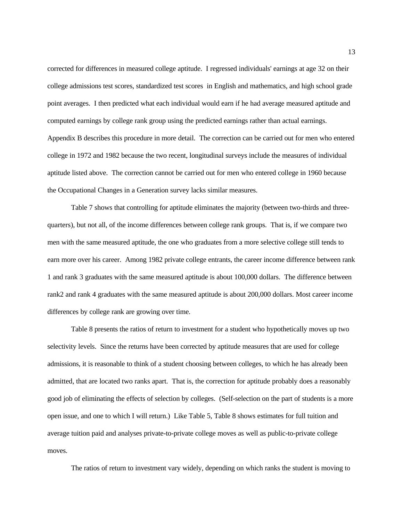corrected for differences in measured college aptitude. I regressed individuals' earnings at age 32 on their college admissions test scores, standardized test scores in English and mathematics, and high school grade point averages. I then predicted what each individual would earn if he had average measured aptitude and computed earnings by college rank group using the predicted earnings rather than actual earnings. Appendix B describes this procedure in more detail. The correction can be carried out for men who entered college in 1972 and 1982 because the two recent, longitudinal surveys include the measures of individual aptitude listed above. The correction cannot be carried out for men who entered college in 1960 because the Occupational Changes in a Generation survey lacks similar measures.

Table 7 shows that controlling for aptitude eliminates the majority (between two-thirds and threequarters), but not all, of the income differences between college rank groups. That is, if we compare two men with the same measured aptitude, the one who graduates from a more selective college still tends to earn more over his career. Among 1982 private college entrants, the career income difference between rank 1 and rank 3 graduates with the same measured aptitude is about 100,000 dollars. The difference between rank2 and rank 4 graduates with the same measured aptitude is about 200,000 dollars. Most career income differences by college rank are growing over time.

Table 8 presents the ratios of return to investment for a student who hypothetically moves up two selectivity levels. Since the returns have been corrected by aptitude measures that are used for college admissions, it is reasonable to think of a student choosing between colleges, to which he has already been admitted, that are located two ranks apart. That is, the correction for aptitude probably does a reasonably good job of eliminating the effects of selection by colleges. (Self-selection on the part of students is a more open issue, and one to which I will return.) Like Table 5, Table 8 shows estimates for full tuition and average tuition paid and analyses private-to-private college moves as well as public-to-private college moves.

The ratios of return to investment vary widely, depending on which ranks the student is moving to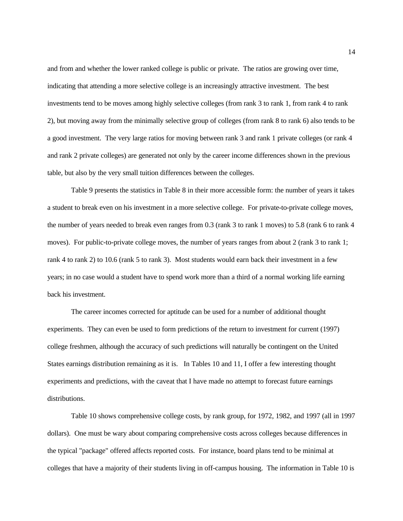and from and whether the lower ranked college is public or private. The ratios are growing over time, indicating that attending a more selective college is an increasingly attractive investment. The best investments tend to be moves among highly selective colleges (from rank 3 to rank 1, from rank 4 to rank 2), but moving away from the minimally selective group of colleges (from rank 8 to rank 6) also tends to be a good investment. The very large ratios for moving between rank 3 and rank 1 private colleges (or rank 4 and rank 2 private colleges) are generated not only by the career income differences shown in the previous table, but also by the very small tuition differences between the colleges.

Table 9 presents the statistics in Table 8 in their more accessible form: the number of years it takes a student to break even on his investment in a more selective college. For private-to-private college moves, the number of years needed to break even ranges from 0.3 (rank 3 to rank 1 moves) to 5.8 (rank 6 to rank 4 moves). For public-to-private college moves, the number of years ranges from about 2 (rank 3 to rank 1; rank 4 to rank 2) to 10.6 (rank 5 to rank 3). Most students would earn back their investment in a few years; in no case would a student have to spend work more than a third of a normal working life earning back his investment.

The career incomes corrected for aptitude can be used for a number of additional thought experiments. They can even be used to form predictions of the return to investment for current (1997) college freshmen, although the accuracy of such predictions will naturally be contingent on the United States earnings distribution remaining as it is. In Tables 10 and 11, I offer a few interesting thought experiments and predictions, with the caveat that I have made no attempt to forecast future earnings distributions.

Table 10 shows comprehensive college costs, by rank group, for 1972, 1982, and 1997 (all in 1997 dollars). One must be wary about comparing comprehensive costs across colleges because differences in the typical "package" offered affects reported costs. For instance, board plans tend to be minimal at colleges that have a majority of their students living in off-campus housing. The information in Table 10 is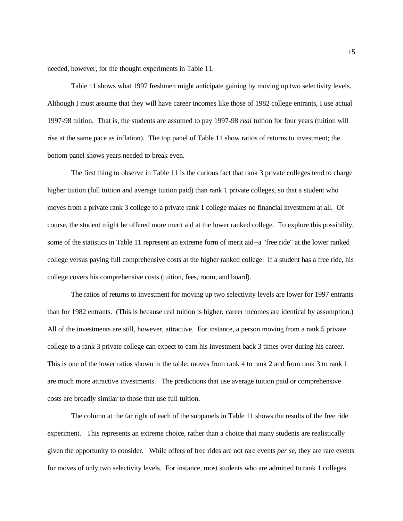needed, however, for the thought experiments in Table 11.

Table 11 shows what 1997 freshmen might anticipate gaining by moving up two selectivity levels. Although I must assume that they will have career incomes like those of 1982 college entrants, I use actual 1997-98 tuition. That is, the students are assumed to pay 1997-98 *real* tuition for four years (tuition will rise at the same pace as inflation). The top panel of Table 11 show ratios of returns to investment; the bottom panel shows years needed to break even.

The first thing to observe in Table 11 is the curious fact that rank 3 private colleges tend to charge higher tuition (full tuition and average tuition paid) than rank 1 private colleges, so that a student who moves from a private rank 3 college to a private rank 1 college makes no financial investment at all. Of course, the student might be offered more merit aid at the lower ranked college. To explore this possibility, some of the statistics in Table 11 represent an extreme form of merit aid--a "free ride" at the lower ranked college versus paying full comprehensive costs at the higher ranked college. If a student has a free ride, his college covers his comprehensive costs (tuition, fees, room, and board).

The ratios of returns to investment for moving up two selectivity levels are lower for 1997 entrants than for 1982 entrants. (This is because real tuition is higher; career incomes are identical by assumption.) All of the investments are still, however, attractive. For instance, a person moving from a rank 5 private college to a rank 3 private college can expect to earn his investment back 3 times over during his career. This is one of the lower ratios shown in the table: moves from rank 4 to rank 2 and from rank 3 to rank 1 are much more attractive investments. The predictions that use average tuition paid or comprehensive costs are broadly similar to those that use full tuition.

The column at the far right of each of the subpanels in Table 11 shows the results of the free ride experiment. This represents an extreme choice, rather than a choice that many students are realistically given the opportunity to consider. While offers of free rides are not rare events *per se*, they are rare events for moves of only two selectivity levels. For instance, most students who are admitted to rank 1 colleges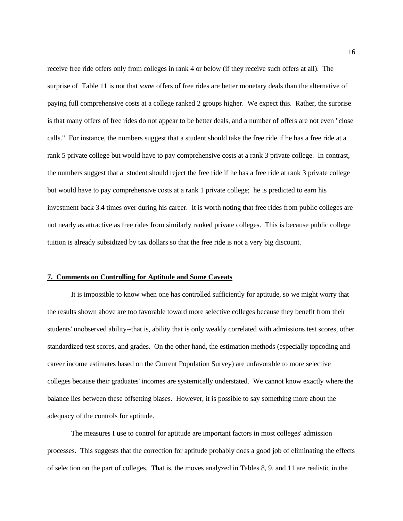receive free ride offers only from colleges in rank 4 or below (if they receive such offers at all). The surprise of Table 11 is not that *some* offers of free rides are better monetary deals than the alternative of paying full comprehensive costs at a college ranked 2 groups higher. We expect this. Rather, the surprise is that many offers of free rides do not appear to be better deals, and a number of offers are not even "close calls." For instance, the numbers suggest that a student should take the free ride if he has a free ride at a rank 5 private college but would have to pay comprehensive costs at a rank 3 private college. In contrast, the numbers suggest that a student should reject the free ride if he has a free ride at rank 3 private college but would have to pay comprehensive costs at a rank 1 private college; he is predicted to earn his investment back 3.4 times over during his career. It is worth noting that free rides from public colleges are not nearly as attractive as free rides from similarly ranked private colleges. This is because public college tuition is already subsidized by tax dollars so that the free ride is not a very big discount.

## **7. Comments on Controlling for Aptitude and Some Caveats**

It is impossible to know when one has controlled sufficiently for aptitude, so we might worry that the results shown above are too favorable toward more selective colleges because they benefit from their students' unobserved ability--that is, ability that is only weakly correlated with admissions test scores, other standardized test scores, and grades. On the other hand, the estimation methods (especially topcoding and career income estimates based on the Current Population Survey) are unfavorable to more selective colleges because their graduates' incomes are systemically understated. We cannot know exactly where the balance lies between these offsetting biases. However, it is possible to say something more about the adequacy of the controls for aptitude.

The measures I use to control for aptitude are important factors in most colleges' admission processes. This suggests that the correction for aptitude probably does a good job of eliminating the effects of selection on the part of colleges. That is, the moves analyzed in Tables 8, 9, and 11 are realistic in the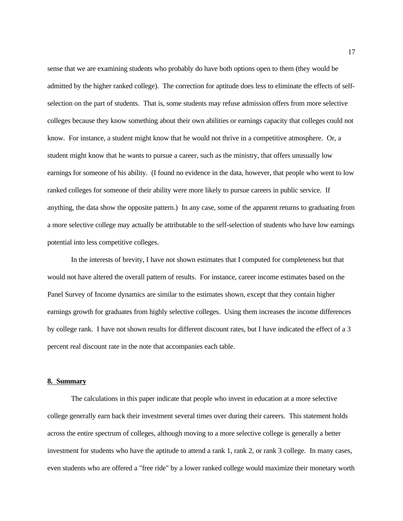sense that we are examining students who probably do have both options open to them (they would be admitted by the higher ranked college). The correction for aptitude does less to eliminate the effects of selfselection on the part of students. That is, some students may refuse admission offers from more selective colleges because they know something about their own abilities or earnings capacity that colleges could not know. For instance, a student might know that he would not thrive in a competitive atmosphere. Or, a student might know that he wants to pursue a career, such as the ministry, that offers unusually low earnings for someone of his ability. (I found no evidence in the data, however, that people who went to low ranked colleges for someone of their ability were more likely to pursue careers in public service. If anything, the data show the opposite pattern.) In any case, some of the apparent returns to graduating from a more selective college may actually be attributable to the self-selection of students who have low earnings potential into less competitive colleges.

In the interests of brevity, I have not shown estimates that I computed for completeness but that would not have altered the overall pattern of results. For instance, career income estimates based on the Panel Survey of Income dynamics are similar to the estimates shown, except that they contain higher earnings growth for graduates from highly selective colleges. Using them increases the income differences by college rank. I have not shown results for different discount rates, but I have indicated the effect of a 3 percent real discount rate in the note that accompanies each table.

## **8. Summary**

The calculations in this paper indicate that people who invest in education at a more selective college generally earn back their investment several times over during their careers. This statement holds across the entire spectrum of colleges, although moving to a more selective college is generally a better investment for students who have the aptitude to attend a rank 1, rank 2, or rank 3 college. In many cases, even students who are offered a "free ride" by a lower ranked college would maximize their monetary worth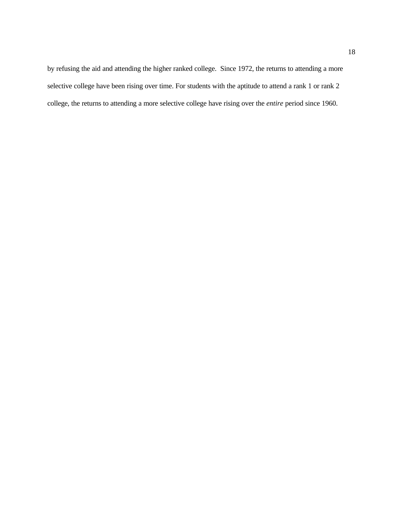by refusing the aid and attending the higher ranked college. Since 1972, the returns to attending a more selective college have been rising over time. For students with the aptitude to attend a rank 1 or rank 2 college, the returns to attending a more selective college have rising over the *entire* period since 1960.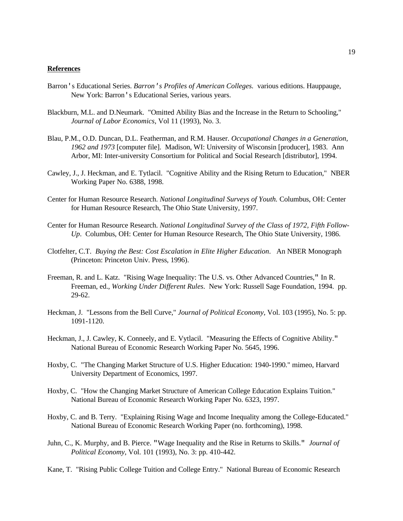## **References**

- Barron's Educational Series. *Barron's Profiles of American Colleges.* various editions. Hauppauge, New York: Barron's Educational Series, various years.
- Blackburn, M.L. and D.Neumark. "Omitted Ability Bias and the Increase in the Return to Schooling," *Journal of Labor Economics*, Vol 11 (1993), No. 3.
- Blau, P.M., O.D. Duncan, D.L. Featherman, and R.M. Hauser. *Occupational Changes in a Generation, 1962 and 1973* [computer file]. Madison, WI: University of Wisconsin [producer], 1983. Ann Arbor, MI: Inter-university Consortium for Political and Social Research [distributor], 1994.
- Cawley, J., J. Heckman, and E. Tytlacil. "Cognitive Ability and the Rising Return to Education," NBER Working Paper No. 6388, 1998.
- Center for Human Resource Research. *National Longitudinal Surveys of Youth.* Columbus, OH: Center for Human Resource Research, The Ohio State University, 1997.
- Center for Human Resource Research. *National Longitudinal Survey of the Class of 1972, Fifth Follow-Up*. Columbus, OH: Center for Human Resource Research, The Ohio State University, 1986.
- Clotfelter, C.T. *Buying the Best: Cost Escalation in Elite Higher Education*. An NBER Monograph (Princeton: Princeton Univ. Press, 1996).
- Freeman, R. and L. Katz. "Rising Wage Inequality: The U.S. vs. Other Advanced Countries," In R. Freeman, ed., *Working Under Different Rules*. New York: Russell Sage Foundation, 1994. pp. 29-62.
- Heckman, J. "Lessons from the Bell Curve," *Journal of Political Economy*, Vol. 103 (1995), No. 5: pp. 1091-1120.
- Heckman, J., J. Cawley, K. Conneely, and E. Vytlacil. "Measuring the Effects of Cognitive Ability." National Bureau of Economic Research Working Paper No. 5645, 1996.
- Hoxby, C. "The Changing Market Structure of U.S. Higher Education: 1940-1990." mimeo, Harvard University Department of Economics, 1997.
- Hoxby, C. "How the Changing Market Structure of American College Education Explains Tuition." National Bureau of Economic Research Working Paper No. 6323, 1997.
- Hoxby, C. and B. Terry. "Explaining Rising Wage and Income Inequality among the College-Educated." National Bureau of Economic Research Working Paper (no. forthcoming), 1998.
- Juhn, C., K. Murphy, and B. Pierce. "Wage Inequality and the Rise in Returns to Skills." *Journal of Political Economy*, Vol. 101 (1993), No. 3: pp. 410-442.
- Kane, T. "Rising Public College Tuition and College Entry." National Bureau of Economic Research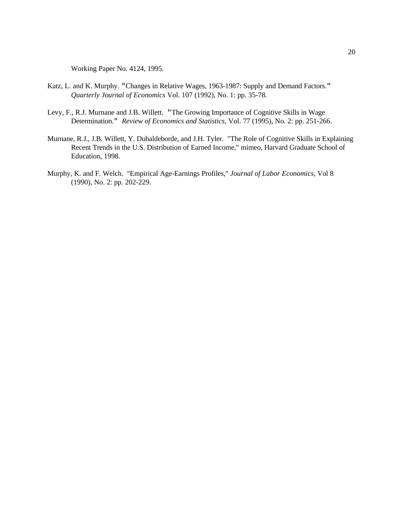Working Paper No. 4124, 1995.

- Katz, L. and K. Murphy. "Changes in Relative Wages, 1963-1987: Supply and Demand Factors." *Quarterly Journal of Economics* Vol. 107 (1992), No. 1: pp. 35-78.
- Levy, F., R.J. Murnane and J.B. Willett. "The Growing Importance of Cognitive Skills in Wage Determination." *Review of Economics and Statistics*, Vol. 77 (1995), No. 2: pp. 251-266.
- Murnane, R.J., J.B. Willett, Y. Duhaldeborde, and J.H. Tyler. "The Role of Cognitive Skills in Explaining Recent Trends in the U.S. Distribution of Earned Income," mimeo, Harvard Graduate School of Education, 1998.
- Murphy, K. and F. Welch. "Empirical Age-Earnings Profiles," *Journal of Labor Economics*, Vol 8 (1990), No. 2: pp. 202-229.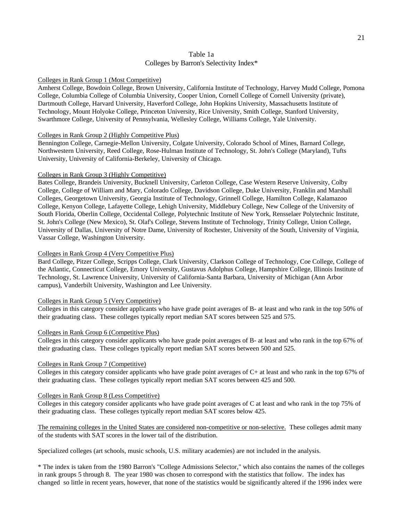## Table 1a Colleges by Barron's Selectivity Index\*

#### Colleges in Rank Group 1 (Most Competitive)

Amherst College, Bowdoin College, Brown University, California Institute of Technology, Harvey Mudd College, Pomona College, Columbia College of Columbia University, Cooper Union, Cornell College of Cornell University (private), Dartmouth College, Harvard University, Haverford College, John Hopkins University, Massachusetts Institute of Technology, Mount Holyoke College, Princeton University, Rice University, Smith College, Stanford University, Swarthmore College, University of Pennsylvania, Wellesley College, Williams College, Yale University.

#### Colleges in Rank Group 2 (Highly Competitive Plus)

Bennington College, Carnegie-Mellon University, Colgate University, Colorado School of Mines, Barnard College, Northwestern University, Reed College, Rose-Hulman Institute of Technology, St. John's College (Maryland), Tufts University, University of California-Berkeley, University of Chicago.

## Colleges in Rank Group 3 (Highly Competitive)

Bates College, Brandeis University, Bucknell University, Carleton College, Case Western Reserve University, Colby College, College of William and Mary, Colorado College, Davidson College, Duke University, Franklin and Marshall Colleges, Georgetown University, Georgia Institute of Technology, Grinnell College, Hamilton College, Kalamazoo College, Kenyon College, Lafayette College, Lehigh University, Middlebury College, New College of the University of South Florida, Oberlin College, Occidental College, Polytechnic Institute of New York, Rensselaer Polytechnic Institute, St. John's College (New Mexico), St. Olaf's College, Stevens Institute of Technology, Trinity College, Union College, University of Dallas, University of Notre Dame, University of Rochester, University of the South, University of Virginia, Vassar College, Washington University.

#### Colleges in Rank Group 4 (Very Competitive Plus)

Bard College, Pitzer College, Scripps College, Clark University, Clarkson College of Technology, Coe College, College of the Atlantic, Connecticut College, Emory University, Gustavus Adolphus College, Hampshire College, Illinois Institute of Technology, St. Lawrence University, University of California-Santa Barbara, University of Michigan (Ann Arbor campus), Vanderbilt University, Washington and Lee University.

#### Colleges in Rank Group 5 (Very Competitive)

Colleges in this category consider applicants who have grade point averages of B- at least and who rank in the top 50% of their graduating class. These colleges typically report median SAT scores between 525 and 575.

#### Colleges in Rank Group 6 (Competitive Plus)

Colleges in this category consider applicants who have grade point averages of B- at least and who rank in the top 67% of their graduating class. These colleges typically report median SAT scores between 500 and 525.

#### Colleges in Rank Group 7 (Competitive)

Colleges in this category consider applicants who have grade point averages of C+ at least and who rank in the top 67% of their graduating class. These colleges typically report median SAT scores between 425 and 500.

#### Colleges in Rank Group 8 (Less Competitive)

Colleges in this category consider applicants who have grade point averages of C at least and who rank in the top 75% of their graduating class. These colleges typically report median SAT scores below 425.

The remaining colleges in the United States are considered non-competitive or non-selective. These colleges admit many of the students with SAT scores in the lower tail of the distribution.

Specialized colleges (art schools, music schools, U.S. military academies) are not included in the analysis.

\* The index is taken from the 1980 Barron's "College Admissions Selector," which also contains the names of the colleges in rank groups 5 through 8. The year 1980 was chosen to correspond with the statistics that follow. The index has changed so little in recent years, however, that none of the statistics would be significantly altered if the 1996 index were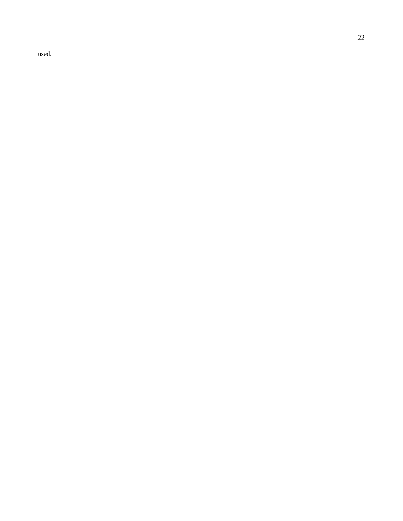used.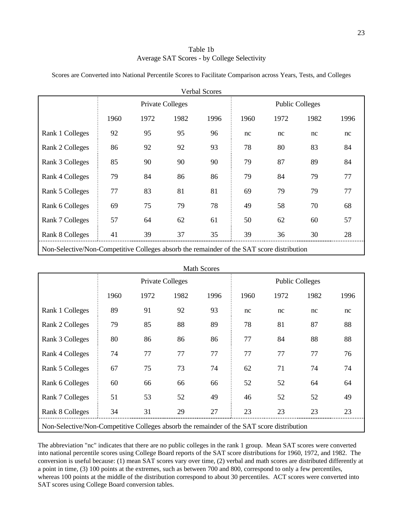## Table 1b Average SAT Scores - by College Selectivity

Scores are Converted into National Percentile Scores to Facilitate Comparison across Years, Tests, and Colleges

|                                                                                           | <b>Verbal Scores</b> |      |                         |      |      |                        |      |      |
|-------------------------------------------------------------------------------------------|----------------------|------|-------------------------|------|------|------------------------|------|------|
|                                                                                           |                      |      | <b>Private Colleges</b> |      |      | <b>Public Colleges</b> |      |      |
|                                                                                           | 1960                 | 1972 | 1982                    | 1996 | 1960 | 1972                   | 1982 | 1996 |
| Rank 1 Colleges                                                                           | 92                   | 95   | 95                      | 96   | nc   | nc                     | nc   | nc   |
| Rank 2 Colleges                                                                           | 86                   | 92   | 92                      | 93   | 78   | 80                     | 83   | 84   |
| Rank 3 Colleges                                                                           | 85                   | 90   | 90                      | 90   | 79   | 87                     | 89   | 84   |
| Rank 4 Colleges                                                                           | 79                   | 84   | 86                      | 86   | 79   | 84                     | 79   | 77   |
| Rank 5 Colleges                                                                           | 77                   | 83   | 81                      | 81   | 69   | 79                     | 79   | 77   |
| Rank 6 Colleges                                                                           | 69                   | 75   | 79                      | 78   | 49   | 58                     | 70   | 68   |
| Rank 7 Colleges                                                                           | 57                   | 64   | 62                      | 61   | 50   | 62                     | 60   | 57   |
| Rank 8 Colleges                                                                           | 41                   | 39   | 37                      | 35   | 39   | 36                     | 30   | 28   |
| Non-Selective/Non-Competitive Colleges absorb the remainder of the SAT score distribution |                      |      |                         |      |      |                        |      |      |

|                                                                                           | <b>Math Scores</b> |                         |      |      |      |                        |      |      |
|-------------------------------------------------------------------------------------------|--------------------|-------------------------|------|------|------|------------------------|------|------|
|                                                                                           |                    | <b>Private Colleges</b> |      |      |      | <b>Public Colleges</b> |      |      |
|                                                                                           | 1960               | 1972                    | 1982 | 1996 | 1960 | 1972                   | 1982 | 1996 |
| Rank 1 Colleges                                                                           | 89                 | 91                      | 92   | 93   | nc   | nc                     | nc   | nc   |
| Rank 2 Colleges                                                                           | 79                 | 85                      | 88   | 89   | 78   | 81                     | 87   | 88   |
| Rank 3 Colleges                                                                           | 80                 | 86                      | 86   | 86   | 77   | 84                     | 88   | 88   |
| Rank 4 Colleges                                                                           | 74                 | 77                      | 77   | 77   | 77   | 77                     | 77   | 76   |
| Rank 5 Colleges                                                                           | 67                 | 75                      | 73   | 74   | 62   | 71                     | 74   | 74   |
| Rank 6 Colleges                                                                           | 60                 | 66                      | 66   | 66   | 52   | 52                     | 64   | 64   |
| Rank 7 Colleges                                                                           | 51                 | 53                      | 52   | 49   | 46   | 52                     | 52   | 49   |
| Rank 8 Colleges                                                                           | 34                 | 31                      | 29   | 27   | 23   | 23                     | 23   | 23   |
| Non-Selective/Non-Competitive Colleges absorb the remainder of the SAT score distribution |                    |                         |      |      |      |                        |      |      |

The abbreviation "nc" indicates that there are no public colleges in the rank 1 group. Mean SAT scores were converted into national percentile scores using College Board reports of the SAT score distributions for 1960, 1972, and 1982. The conversion is useful because: (1) mean SAT scores vary over time, (2) verbal and math scores are distributed differently at a point in time, (3) 100 points at the extremes, such as between 700 and 800, correspond to only a few percentiles, whereas 100 points at the middle of the distribution correspond to about 30 percentiles. ACT scores were converted into SAT scores using College Board conversion tables.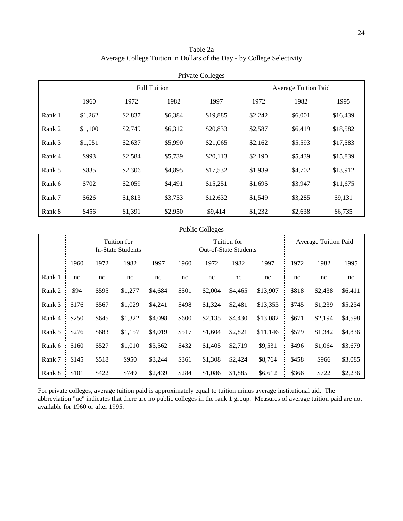Table 2a Average College Tuition in Dollars of the Day - by College Selectivity

|        | <b>Private Colleges</b> |         |                     |          |                             |         |          |  |  |  |
|--------|-------------------------|---------|---------------------|----------|-----------------------------|---------|----------|--|--|--|
|        |                         |         | <b>Full Tuition</b> |          | <b>Average Tuition Paid</b> |         |          |  |  |  |
|        | 1960                    | 1972    | 1982                | 1997     | 1972                        | 1982    | 1995     |  |  |  |
| Rank 1 | \$1,262                 | \$2,837 | \$6,384             | \$19,885 | \$2,242                     | \$6,001 | \$16,439 |  |  |  |
| Rank 2 | \$1,100                 | \$2,749 | \$6,312             | \$20,833 | \$2,587                     | \$6,419 | \$18,582 |  |  |  |
| Rank 3 | \$1,051                 | \$2,637 | \$5,990             | \$21,065 | \$2,162                     | \$5,593 | \$17,583 |  |  |  |
| Rank 4 | \$993                   | \$2,584 | \$5,739             | \$20,113 | \$2,190                     | \$5,439 | \$15,839 |  |  |  |
| Rank 5 | \$835                   | \$2,306 | \$4,895             | \$17,532 | \$1,939                     | \$4,702 | \$13,912 |  |  |  |
| Rank 6 | \$702                   | \$2,059 | \$4,491             | \$15,251 | \$1,695                     | \$3,947 | \$11,675 |  |  |  |
| Rank 7 | \$626                   | \$1,813 | \$3,753             | \$12,632 | \$1,549                     | \$3,285 | \$9,131  |  |  |  |
| Rank 8 | \$456                   | \$1,391 | \$2,950             | \$9,414  | \$1,232                     | \$2,638 | \$6,735  |  |  |  |

## Public Colleges

|        |       |       | Tuition for<br>In-State Students |         | Tuition for<br><b>Out-of-State Students</b> |         |         |          | <b>Average Tuition Paid</b> |         |         |
|--------|-------|-------|----------------------------------|---------|---------------------------------------------|---------|---------|----------|-----------------------------|---------|---------|
|        | 1960  | 1972  | 1982                             | 1997    | 1960                                        | 1972    | 1982    | 1997     | 1972                        | 1982    | 1995    |
| Rank 1 | nc    | nc    | nc                               | nc      | nc                                          | nc      | nc      | nc       | nc                          | nc      | nc      |
| Rank 2 | \$94  | \$595 | \$1,277                          | \$4,684 | \$501                                       | \$2,004 | \$4,465 | \$13,907 | \$818                       | \$2,438 | \$6,411 |
| Rank 3 | \$176 | \$567 | \$1,029                          | \$4,241 | \$498                                       | \$1,324 | \$2,481 | \$13,353 | \$745                       | \$1,239 | \$5,234 |
| Rank 4 | \$250 | \$645 | \$1,322                          | \$4,098 | \$600                                       | \$2,135 | \$4,430 | \$13,082 | \$671                       | \$2,194 | \$4,598 |
| Rank 5 | \$276 | \$683 | \$1,157                          | \$4,019 | \$517                                       | \$1,604 | \$2,821 | \$11,146 | \$579                       | \$1,342 | \$4,836 |
| Rank 6 | \$160 | \$527 | \$1,010                          | \$3,562 | \$432                                       | \$1,405 | \$2,719 | \$9,531  | \$496                       | \$1,064 | \$3,679 |
| Rank 7 | \$145 | \$518 | \$950                            | \$3,244 | \$361                                       | \$1,308 | \$2,424 | \$8,764  | \$458                       | \$966   | \$3,085 |
| Rank 8 | \$101 | \$422 | \$749                            | \$2,439 | \$284                                       | \$1,086 | \$1,885 | \$6,612  | \$366                       | \$722   | \$2,236 |

For private colleges, average tuition paid is approximately equal to tuition minus average institutional aid. The abbreviation "nc" indicates that there are no public colleges in the rank 1 group. Measures of average tuition paid are not available for 1960 or after 1995.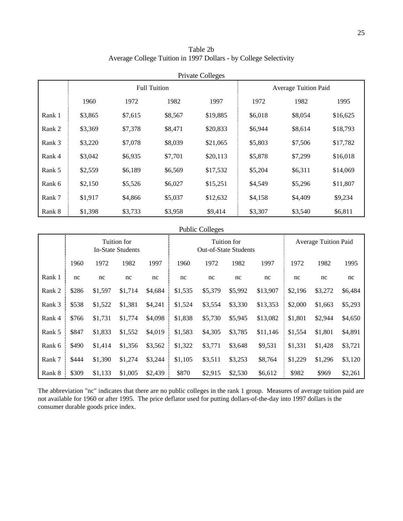Table 2b Average College Tuition in 1997 Dollars - by College Selectivity

|        | <b>Private Colleges</b> |         |                     |          |                             |         |          |  |  |  |
|--------|-------------------------|---------|---------------------|----------|-----------------------------|---------|----------|--|--|--|
|        |                         |         | <b>Full Tuition</b> |          | <b>Average Tuition Paid</b> |         |          |  |  |  |
|        | 1960                    | 1972    | 1982                | 1997     | 1972                        | 1982    | 1995     |  |  |  |
| Rank 1 | \$3,865                 | \$7,615 | \$8,567             | \$19,885 | \$6,018                     | \$8,054 | \$16,625 |  |  |  |
| Rank 2 | \$3,369                 | \$7,378 | \$8,471             | \$20,833 | \$6,944                     | \$8,614 | \$18,793 |  |  |  |
| Rank 3 | \$3,220                 | \$7,078 | \$8,039             | \$21,065 | \$5,803                     | \$7,506 | \$17,782 |  |  |  |
| Rank 4 | \$3,042                 | \$6,935 | \$7,701             | \$20,113 | \$5,878                     | \$7,299 | \$16,018 |  |  |  |
| Rank 5 | \$2,559                 | \$6,189 | \$6,569             | \$17,532 | \$5,204                     | \$6,311 | \$14,069 |  |  |  |
| Rank 6 | \$2,150                 | \$5,526 | \$6,027             | \$15,251 | \$4,549                     | \$5,296 | \$11,807 |  |  |  |
| Rank 7 | \$1,917                 | \$4,866 | \$5,037             | \$12,632 | \$4,158                     | \$4,409 | \$9,234  |  |  |  |
| Rank 8 | \$1,398                 | \$3,733 | \$3,958             | \$9,414  | \$3,307                     | \$3,540 | \$6,811  |  |  |  |

## Public Colleges

|        |       |         | Tuition for<br><b>In-State Students</b> |         | Tuition for<br>Out-of-State Students |         |         | <b>Average Tuition Paid</b> |         |         |         |
|--------|-------|---------|-----------------------------------------|---------|--------------------------------------|---------|---------|-----------------------------|---------|---------|---------|
|        | 1960  | 1972    | 1982                                    | 1997    | 1960                                 | 1972    | 1982    | 1997                        | 1972    | 1982    | 1995    |
| Rank 1 | nc    | nc      | nc                                      | nc      | nc                                   | nc      | nc      | nc                          | nc      | nc      | nc      |
| Rank 2 | \$286 | \$1,597 | \$1,714                                 | \$4,684 | \$1,535                              | \$5,379 | \$5,992 | \$13,907                    | \$2,196 | \$3,272 | \$6,484 |
| Rank 3 | \$538 | \$1,522 | \$1,381                                 | \$4,241 | \$1,524                              | \$3,554 | \$3,330 | \$13,353                    | \$2,000 | \$1,663 | \$5,293 |
| Rank 4 | \$766 | \$1,731 | \$1,774                                 | \$4,098 | \$1,838                              | \$5,730 | \$5,945 | \$13,082                    | \$1,801 | \$2,944 | \$4,650 |
| Rank 5 | \$847 | \$1,833 | \$1,552                                 | \$4,019 | \$1,583                              | \$4,305 | \$3,785 | \$11,146                    | \$1,554 | \$1,801 | \$4,891 |
| Rank 6 | \$490 | \$1,414 | \$1,356                                 | \$3,562 | \$1,322                              | \$3,771 | \$3,648 | \$9,531                     | \$1,331 | \$1,428 | \$3,721 |
| Rank 7 | \$444 | \$1,390 | \$1,274                                 | \$3,244 | \$1,105                              | \$3,511 | \$3,253 | \$8,764                     | \$1,229 | \$1,296 | \$3,120 |
| Rank 8 | \$309 | \$1,133 | \$1,005                                 | \$2,439 | \$870                                | \$2,915 | \$2,530 | \$6,612                     | \$982   | \$969   | \$2,261 |

The abbreviation "nc" indicates that there are no public colleges in the rank 1 group. Measures of average tuition paid are not available for 1960 or after 1995. The price deflator used for putting dollars-of-the-day into 1997 dollars is the consumer durable goods price index.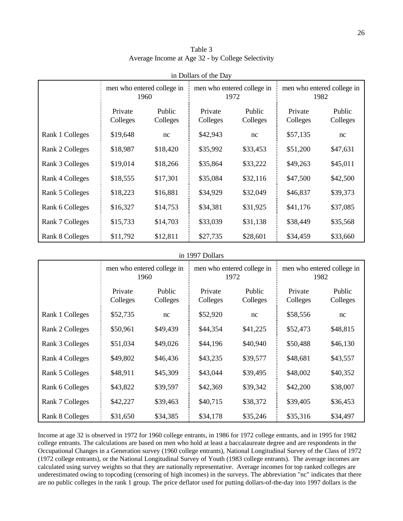Table 3 Average Income at Age 32 - by College Selectivity

| in Dollars of the Day |                                    |                    |                     |                                    |                                    |                    |  |
|-----------------------|------------------------------------|--------------------|---------------------|------------------------------------|------------------------------------|--------------------|--|
|                       | men who entered college in<br>1960 |                    |                     | men who entered college in<br>1972 | men who entered college in<br>1982 |                    |  |
|                       | Private<br>Colleges                | Public<br>Colleges | Private<br>Colleges | Public<br>Colleges                 |                                    | Public<br>Colleges |  |
| Rank 1 Colleges       | \$19,648                           | nc                 | \$42,943            | nc                                 | \$57,135                           | nc                 |  |
| Rank 2 Colleges       | \$18,987                           | \$18,420           | \$35,992            | \$33,453                           | \$51,200                           | \$47,631           |  |
| Rank 3 Colleges       | \$19,014                           | \$18,266           | \$35,864            | \$33,222                           | \$49,263                           | \$45,011           |  |
| Rank 4 Colleges       | \$18,555                           | \$17,301           | \$35,084            | \$32,116                           | \$47,500                           | \$42,500           |  |
| Rank 5 Colleges       | \$18,223                           | \$16,881           | \$34,929            | \$32,049                           | \$46,837                           | \$39,373           |  |
| Rank 6 Colleges       | \$16,327                           | \$14,753           | \$34,381            | \$31,925                           | \$41,176                           | \$37,085           |  |
| Rank 7 Colleges       | \$15,733                           | \$14,703           | \$33,039            | \$31,138                           | \$38,449                           | \$35,568           |  |
| Rank 8 Colleges       | \$11,792                           | \$12,811           | \$27,735            | \$28,601                           | \$34,459                           | \$33,660           |  |

#### in 1997 Dollars

|                 | men who entered college in<br>1960 |                    |                     | men who entered college in<br>1972 | men who entered college in<br>1982 |                    |
|-----------------|------------------------------------|--------------------|---------------------|------------------------------------|------------------------------------|--------------------|
|                 | Private<br>Colleges                | Public<br>Colleges | Private<br>Colleges | Public<br>Colleges                 | Private<br>Colleges                | Public<br>Colleges |
| Rank 1 Colleges | \$52,735                           | nc                 | \$52,920            | nc                                 | \$58,556                           | nc                 |
| Rank 2 Colleges | \$50,961                           | \$49,439           | \$44,354            | \$41,225                           | \$52,473                           | \$48,815           |
| Rank 3 Colleges | \$51,034                           | \$49,026           | \$44,196            | \$40,940                           | \$50,488                           | \$46,130           |
| Rank 4 Colleges | \$49,802                           | \$46,436           | \$43,235            | \$39,577                           | \$48,681                           | \$43,557           |
| Rank 5 Colleges | \$48,911                           | \$45,309           | \$43,044            | \$39,495                           | \$48,002                           | \$40,352           |
| Rank 6 Colleges | \$43,822                           | \$39,597           | \$42,369            | \$39,342                           | \$42,200                           | \$38,007           |
| Rank 7 Colleges | \$42,227                           | \$39,463           | \$40,715            | \$38,372                           | \$39,405                           | \$36,453           |
| Rank 8 Colleges | \$31,650                           | \$34,385           | \$34,178            | \$35,246                           | \$35,316                           | \$34,497           |

Income at age 32 is observed in 1972 for 1960 college entrants, in 1986 for 1972 college entrants, and in 1995 for 1982 college entrants. The calculations are based on men who hold at least a baccalaureate degree and are respondents in the Occupational Changes in a Generation survey (1960 college entrants), National Longitudinal Survey of the Class of 1972 (1972 college entrants), or the National Longitudinal Survey of Youth (1983 college entrants). The average incomes are calculated using survey weights so that they are nationally representative. Average incomes for top ranked colleges are underestimated owing to topcoding (censoring of high incomes) in the surveys. The abbreviation "nc" indicates that there are no public colleges in the rank 1 group. The price deflator used for putting dollars-of-the-day into 1997 dollars is the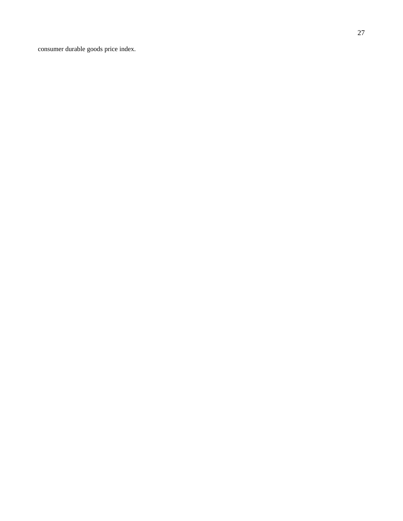consumer durable goods price index.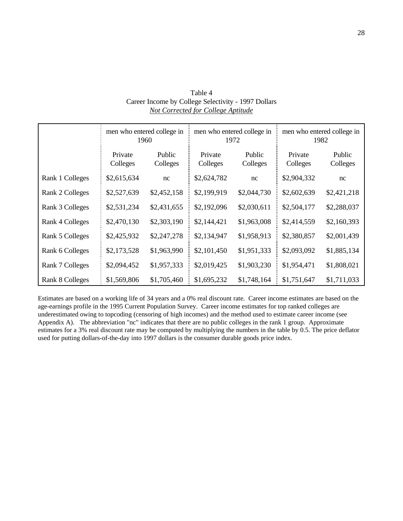| Table 4                                             |
|-----------------------------------------------------|
| Career Income by College Selectivity - 1997 Dollars |
| Not Corrected for College Aptitude                  |

|                 | men who entered college in<br>1960 |                    |                     | men who entered college in<br>1972 | men who entered college in<br>1982 |                           |
|-----------------|------------------------------------|--------------------|---------------------|------------------------------------|------------------------------------|---------------------------|
|                 | Private<br>Colleges                | Public<br>Colleges | Private<br>Colleges | Public<br>Colleges                 | Private<br>Colleges                | <b>Public</b><br>Colleges |
| Rank 1 Colleges | \$2,615,634                        | nc                 | \$2,624,782         | nc                                 | \$2,904,332                        | nc                        |
| Rank 2 Colleges | \$2,527,639                        | \$2,452,158        | \$2,199,919         | \$2,044,730                        | \$2,602,639                        | \$2,421,218               |
| Rank 3 Colleges | \$2,531,234                        | \$2,431,655        | \$2,192,096         | \$2,030,611                        | \$2,504,177                        | \$2,288,037               |
| Rank 4 Colleges | \$2,470,130                        | \$2,303,190        | \$2,144,421         | \$1,963,008                        | \$2,414,559                        | \$2,160,393               |
| Rank 5 Colleges | \$2,425,932                        | \$2,247,278        | \$2,134,947         | \$1,958,913                        | \$2,380,857                        | \$2,001,439               |
| Rank 6 Colleges | \$2,173,528                        | \$1,963,990        | \$2,101,450         | \$1,951,333                        | \$2,093,092                        | \$1,885,134               |
| Rank 7 Colleges | \$2,094,452                        | \$1,957,333        | \$2,019,425         | \$1,903,230                        | \$1,954,471                        | \$1,808,021               |
| Rank 8 Colleges | \$1,569,806                        | \$1,705,460        | \$1,695,232         | \$1,748,164                        | \$1,751,647                        | \$1,711,033               |

Estimates are based on a working life of 34 years and a 0% real discount rate. Career income estimates are based on the age-earnings profile in the 1995 Current Population Survey. Career income estimates for top ranked colleges are underestimated owing to topcoding (censoring of high incomes) and the method used to estimate career income (see Appendix A). The abbreviation "nc" indicates that there are no public colleges in the rank 1 group. Approximate estimates for a 3% real discount rate may be computed by multiplying the numbers in the table by 0.5. The price deflator used for putting dollars-of-the-day into 1997 dollars is the consumer durable goods price index.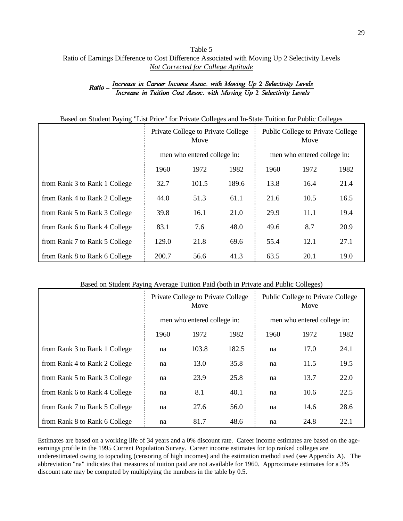## Table 5 Ratio of Earnings Difference to Cost Difference Associated with Moving Up 2 Selectivity Levels *Not Corrected for College Aptitude*

# Ratio =  $\frac{Increase}{increase}$  in Career Income Assoc. with Moving Up 2 Selectivity Levels<br>Increase in Tuition Cost Assoc. with Moving Up 2 Selectivity Levels

| Dasca on buddent I aying Leist Frice. For Frivate Conceges and In-buate Funton for Fubile Conceges |                                            |       |       |                                           |      |      |  |
|----------------------------------------------------------------------------------------------------|--------------------------------------------|-------|-------|-------------------------------------------|------|------|--|
|                                                                                                    | Private College to Private College<br>Move |       |       | Public College to Private College<br>Move |      |      |  |
|                                                                                                    | men who entered college in:                |       |       | men who entered college in:               |      |      |  |
|                                                                                                    | 1960                                       | 1972  | 1982  | 1960                                      | 1972 | 1982 |  |
| from Rank 3 to Rank 1 College                                                                      | 32.7                                       | 101.5 | 189.6 | 13.8                                      | 16.4 | 21.4 |  |
| from Rank 4 to Rank 2 College                                                                      | 44.0                                       | 51.3  | 61.1  | 21.6                                      | 10.5 | 16.5 |  |
| from Rank 5 to Rank 3 College                                                                      | 39.8                                       | 16.1  | 21.0  | 29.9                                      | 11.1 | 19.4 |  |
| from Rank 6 to Rank 4 College                                                                      | 83.1                                       | 7.6   | 48.0  | 49.6                                      | 8.7  | 20.9 |  |
| from Rank 7 to Rank 5 College                                                                      | 129.0                                      | 21.8  | 69.6  | 55.4                                      | 12.1 | 27.1 |  |
| from Rank 8 to Rank 6 College                                                                      | 200.7                                      | 56.6  | 41.3  | 63.5                                      | 20.1 | 19.0 |  |

## Based on Student Paying "List Price" for Private Colleges and In-State Tuition for Public Colleges

| Based on Student Paying Average Tuition Paid (both in Private and Public Colleges) |  |  |
|------------------------------------------------------------------------------------|--|--|
|                                                                                    |  |  |

|                               | Private College to Private College<br>Move |              |       | Public College to Private College<br>Move |      |      |  |
|-------------------------------|--------------------------------------------|--------------|-------|-------------------------------------------|------|------|--|
|                               | men who entered college in:                |              |       | men who entered college in:               |      |      |  |
|                               | 1960                                       | 1972<br>1982 |       | 1960                                      | 1972 | 1982 |  |
| from Rank 3 to Rank 1 College | na                                         | 103.8        | 182.5 | na                                        | 17.0 | 24.1 |  |
| from Rank 4 to Rank 2 College | na                                         | 13.0         | 35.8  | na                                        | 11.5 | 19.5 |  |
| from Rank 5 to Rank 3 College | na                                         | 23.9         | 25.8  | na                                        | 13.7 | 22.0 |  |
| from Rank 6 to Rank 4 College | na                                         | 8.1          | 40.1  | na                                        | 10.6 | 22.5 |  |
| from Rank 7 to Rank 5 College | na                                         | 27.6         | 56.0  | na                                        | 14.6 | 28.6 |  |
| from Rank 8 to Rank 6 College | na                                         | 81.7         | 48.6  | na                                        | 24.8 | 22.1 |  |

Estimates are based on a working life of 34 years and a 0% discount rate. Career income estimates are based on the ageearnings profile in the 1995 Current Population Survey. Career income estimates for top ranked colleges are underestimated owing to topcoding (censoring of high incomes) and the estimation method used (see Appendix A). The abbreviation "na" indicates that measures of tuition paid are not available for 1960. Approximate estimates for a 3% discount rate may be computed by multiplying the numbers in the table by 0.5.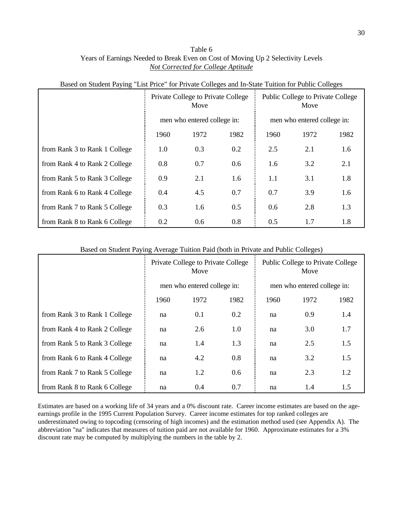Table 6 Years of Earnings Needed to Break Even on Cost of Moving Up 2 Selectivity Levels *Not Corrected for College Aptitude*

|                               | Private College to Private College<br>Move |               |      | Public College to Private College<br>Move |      |      |  |
|-------------------------------|--------------------------------------------|---------------|------|-------------------------------------------|------|------|--|
|                               | men who entered college in:                |               |      | men who entered college in:               |      |      |  |
|                               | 1960                                       | 1972          | 1982 | 1960                                      | 1972 | 1982 |  |
| from Rank 3 to Rank 1 College | 1.0                                        | 0.3           | 0.2  | 2.5                                       | 2.1  | 1.6  |  |
| from Rank 4 to Rank 2 College | 0.8                                        | 0.7           | 0.6  | 1.6                                       | 3.2  | 2.1  |  |
| from Rank 5 to Rank 3 College | 0.9                                        | 2.1           | 1.6  | 1.1                                       | 3.1  | 1.8  |  |
| from Rank 6 to Rank 4 College | 0.4                                        | 4.5           | 0.7  | 0.7                                       | 3.9  | 1.6  |  |
| from Rank 7 to Rank 5 College | 0.3                                        | 1.6           | 0.5  | 0.6                                       | 2.8  | 1.3  |  |
| from Rank 8 to Rank 6 College | 0.2                                        | $0.6^{\circ}$ | 0.8  | 0.5                                       | 1.7  | 1.8  |  |

## Based on Student Paying "List Price" for Private Colleges and In-State Tuition for Public Colleges

## Based on Student Paying Average Tuition Paid (both in Private and Public Colleges)

|                               | Private College to Private College<br>Move |              |     | Public College to Private College<br>Move |      |      |  |
|-------------------------------|--------------------------------------------|--------------|-----|-------------------------------------------|------|------|--|
|                               | men who entered college in:                |              |     | men who entered college in:               |      |      |  |
|                               | 1960                                       | 1972<br>1982 |     | 1960                                      | 1972 | 1982 |  |
| from Rank 3 to Rank 1 College | na                                         | 0.1          | 0.2 | na                                        | 0.9  | 1.4  |  |
| from Rank 4 to Rank 2 College | na                                         | 2.6          | 1.0 | na                                        | 3.0  | 1.7  |  |
| from Rank 5 to Rank 3 College | na                                         | 1.4          | 1.3 | na                                        | 2.5  | 1.5  |  |
| from Rank 6 to Rank 4 College | na                                         | 4.2          | 0.8 | na                                        | 3.2  | 1.5  |  |
| from Rank 7 to Rank 5 College | na                                         | 1.2          | 0.6 | na                                        | 2.3  | 1.2  |  |
| from Rank 8 to Rank 6 College | na                                         | 0.4          | 0.7 | na                                        | 1.4  | 1.5  |  |

Estimates are based on a working life of 34 years and a 0% discount rate. Career income estimates are based on the ageearnings profile in the 1995 Current Population Survey. Career income estimates for top ranked colleges are underestimated owing to topcoding (censoring of high incomes) and the estimation method used (see Appendix A). The abbreviation "na" indicates that measures of tuition paid are not available for 1960. Approximate estimates for a 3% discount rate may be computed by multiplying the numbers in the table by 2.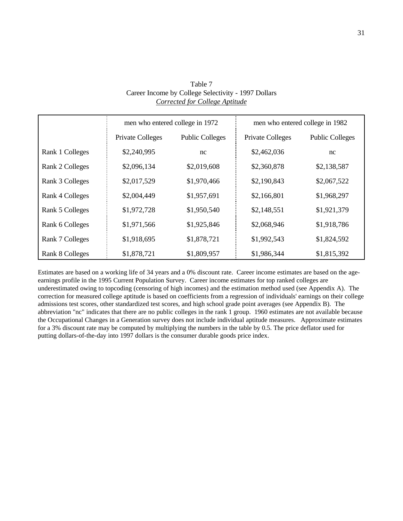|                 | men who entered college in 1972 |                        | men who entered college in 1982 |                        |  |
|-----------------|---------------------------------|------------------------|---------------------------------|------------------------|--|
|                 | <b>Private Colleges</b>         | <b>Public Colleges</b> | <b>Private Colleges</b>         | <b>Public Colleges</b> |  |
| Rank 1 Colleges | \$2,240,995                     | nc                     | \$2,462,036                     | nc                     |  |
| Rank 2 Colleges | \$2,096,134                     | \$2,019,608            | \$2,360,878                     | \$2,138,587            |  |
| Rank 3 Colleges | \$2,017,529                     | \$1,970,466            | \$2,190,843                     | \$2,067,522            |  |
| Rank 4 Colleges | \$2,004,449                     | \$1,957,691            | \$2,166,801                     | \$1,968,297            |  |
| Rank 5 Colleges | \$1,972,728                     | \$1,950,540            | \$2,148,551                     | \$1,921,379            |  |
| Rank 6 Colleges | \$1,971,566                     | \$1,925,846            | \$2,068,946                     | \$1,918,786            |  |
| Rank 7 Colleges | \$1,918,695                     | \$1,878,721            | \$1,992,543                     | \$1,824,592            |  |
| Rank 8 Colleges | \$1,878,721                     | \$1,809,957            | \$1,986,344                     | \$1,815,392            |  |

Table 7 Career Income by College Selectivity - 1997 Dollars *Corrected for College Aptitude*

Estimates are based on a working life of 34 years and a 0% discount rate. Career income estimates are based on the ageearnings profile in the 1995 Current Population Survey. Career income estimates for top ranked colleges are underestimated owing to topcoding (censoring of high incomes) and the estimation method used (see Appendix A). The correction for measured college aptitude is based on coefficients from a regression of individuals' earnings on their college admissions test scores, other standardized test scores, and high school grade point averages (see Appendix B). The abbreviation "nc" indicates that there are no public colleges in the rank 1 group. 1960 estimates are not available because the Occupational Changes in a Generation survey does not include individual aptitude measures. Approximate estimates for a 3% discount rate may be computed by multiplying the numbers in the table by 0.5. The price deflator used for putting dollars-of-the-day into 1997 dollars is the consumer durable goods price index.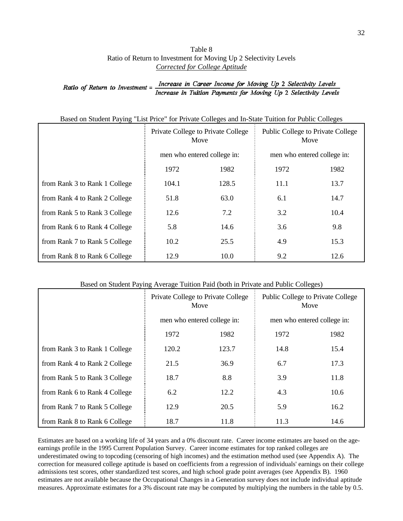## Table 8 Ratio of Return to Investment for Moving Up 2 Selectivity Levels *Corrected for College Aptitude*

#### Increase in Career Income for Moving Up 2 Selectivity Levels Ratio of Return to Investment = Increase in Tuition Payments for Moving Up 2 Selectivity Levels

Based on Student Paying "List Price" for Private Colleges and In-State Tuition for Public Colleges

| Dased on Student Paying List Price for Private Coneges and in-State Tuttion for Public Coneges |                                            |       |                                           |                             |  |  |  |  |
|------------------------------------------------------------------------------------------------|--------------------------------------------|-------|-------------------------------------------|-----------------------------|--|--|--|--|
|                                                                                                | Private College to Private College<br>Move |       | Public College to Private College<br>Move |                             |  |  |  |  |
|                                                                                                | men who entered college in:                |       |                                           | men who entered college in: |  |  |  |  |
|                                                                                                | 1972                                       | 1982  | 1972                                      | 1982                        |  |  |  |  |
| from Rank 3 to Rank 1 College                                                                  | 104.1                                      | 128.5 | 11.1                                      | 13.7                        |  |  |  |  |
| from Rank 4 to Rank 2 College                                                                  | 51.8                                       | 63.0  | 6.1                                       | 14.7                        |  |  |  |  |
| from Rank 5 to Rank 3 College                                                                  | 12.6                                       | 7.2   | 3.2                                       | 10.4                        |  |  |  |  |
| from Rank 6 to Rank 4 College                                                                  | 5.8                                        | 14.6  | 3.6                                       | 9.8                         |  |  |  |  |
| from Rank 7 to Rank 5 College                                                                  | 10.2                                       | 25.5  | 4.9                                       | 15.3                        |  |  |  |  |
| from Rank 8 to Rank 6 College                                                                  | 12.9                                       | 10.0  | 9.2                                       | 12.6                        |  |  |  |  |

## Based on Student Paying Average Tuition Paid (both in Private and Public Colleges)

|                               |       | Private College to Private College<br>Move | Public College to Private College<br>Move |      |  |
|-------------------------------|-------|--------------------------------------------|-------------------------------------------|------|--|
|                               |       | men who entered college in:                | men who entered college in:               |      |  |
|                               | 1972  | 1982                                       | 1972                                      | 1982 |  |
| from Rank 3 to Rank 1 College | 120.2 | 123.7                                      | 14.8                                      | 15.4 |  |
| from Rank 4 to Rank 2 College | 21.5  | 36.9                                       | 6.7                                       | 17.3 |  |
| from Rank 5 to Rank 3 College | 18.7  | 8.8                                        | 3.9                                       | 11.8 |  |
| from Rank 6 to Rank 4 College | 6.2   | 12.2                                       | 4.3                                       | 10.6 |  |
| from Rank 7 to Rank 5 College | 12.9  | 20.5                                       | 5.9                                       | 16.2 |  |
| from Rank 8 to Rank 6 College | 18.7  | 11.8                                       | 11.3                                      | 14.6 |  |

Estimates are based on a working life of 34 years and a 0% discount rate. Career income estimates are based on the ageearnings profile in the 1995 Current Population Survey. Career income estimates for top ranked colleges are underestimated owing to topcoding (censoring of high incomes) and the estimation method used (see Appendix A). The correction for measured college aptitude is based on coefficients from a regression of individuals' earnings on their college admissions test scores, other standardized test scores, and high school grade point averages (see Appendix B). 1960 estimates are not available because the Occupational Changes in a Generation survey does not include individual aptitude measures. Approximate estimates for a 3% discount rate may be computed by multiplying the numbers in the table by 0.5.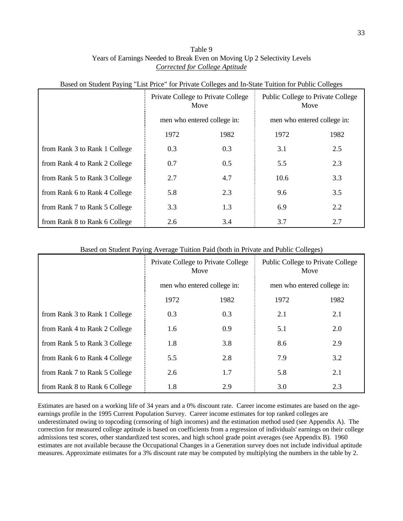## Table 9 Years of Earnings Needed to Break Even on Moving Up 2 Selectivity Levels *Corrected for College Aptitude*

|                               |              | Private College to Private College<br>Move | Public College to Private College<br>Move |      |  |
|-------------------------------|--------------|--------------------------------------------|-------------------------------------------|------|--|
|                               |              | men who entered college in:                | men who entered college in:               |      |  |
|                               | 1972<br>1982 |                                            | 1972                                      | 1982 |  |
| from Rank 3 to Rank 1 College | 0.3          | 0.3                                        | 3.1                                       | 2.5  |  |
| from Rank 4 to Rank 2 College | 0.7          | 0.5                                        | 5.5                                       | 2.3  |  |
| from Rank 5 to Rank 3 College | 2.7          | 4.7                                        | 10.6                                      | 3.3  |  |
| from Rank 6 to Rank 4 College | 5.8          | 2.3                                        | 9.6                                       | 3.5  |  |
| from Rank 7 to Rank 5 College | 3.3          | 1.3                                        | 6.9                                       | 2.2  |  |
| from Rank 8 to Rank 6 College | 2.6          | 3.4                                        | 3.7                                       | 2.7  |  |

## Based on Student Paying "List Price" for Private Colleges and In-State Tuition for Public Colleges

## Based on Student Paying Average Tuition Paid (both in Private and Public Colleges)

|                               |                             | Private College to Private College<br>Move | Public College to Private College<br>Move |                             |  |
|-------------------------------|-----------------------------|--------------------------------------------|-------------------------------------------|-----------------------------|--|
|                               | men who entered college in: |                                            |                                           | men who entered college in: |  |
|                               | 1972                        | 1982                                       | 1972                                      | 1982                        |  |
| from Rank 3 to Rank 1 College | 0.3                         | 0.3                                        | 2.1                                       | 2.1                         |  |
| from Rank 4 to Rank 2 College | 1.6                         | 0.9                                        | 5.1                                       | 2.0                         |  |
| from Rank 5 to Rank 3 College | 1.8                         | 3.8                                        | 8.6                                       | 2.9                         |  |
| from Rank 6 to Rank 4 College | 5.5                         | 2.8                                        | 7.9                                       | 3.2                         |  |
| from Rank 7 to Rank 5 College | 2.6                         | 1.7                                        | 5.8                                       | 2.1                         |  |
| from Rank 8 to Rank 6 College | 1.8                         | 2.9                                        | 3.0                                       | 2.3                         |  |

Estimates are based on a working life of 34 years and a 0% discount rate. Career income estimates are based on the ageearnings profile in the 1995 Current Population Survey. Career income estimates for top ranked colleges are underestimated owing to topcoding (censoring of high incomes) and the estimation method used (see Appendix A). The correction for measured college aptitude is based on coefficients from a regression of individuals' earnings on their college admissions test scores, other standardized test scores, and high school grade point averages (see Appendix B). 1960 estimates are not available because the Occupational Changes in a Generation survey does not include individual aptitude measures. Approximate estimates for a 3% discount rate may be computed by multiplying the numbers in the table by 2.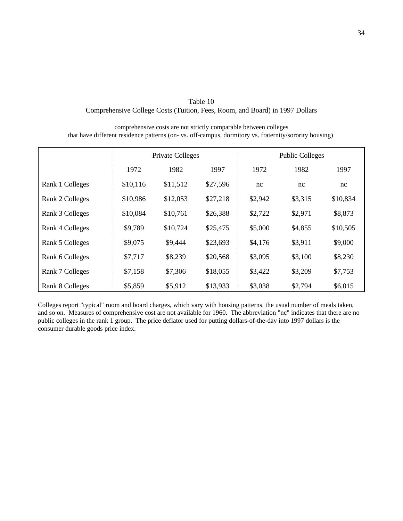## Table 10 Comprehensive College Costs (Tuition, Fees, Room, and Board) in 1997 Dollars

comprehensive costs are not strictly comparable between colleges that have different residence patterns (on- vs. off-campus, dormitory vs. fraternity/sorority housing)

|                 |          | <b>Private Colleges</b> |          |         | <b>Public Colleges</b> |          |
|-----------------|----------|-------------------------|----------|---------|------------------------|----------|
|                 | 1972     | 1982                    | 1997     | 1972    | 1982                   | 1997     |
| Rank 1 Colleges | \$10,116 | \$11,512                | \$27,596 | nc      | nc                     | nc       |
| Rank 2 Colleges | \$10,986 | \$12,053                | \$27,218 | \$2,942 | \$3,315                | \$10,834 |
| Rank 3 Colleges | \$10,084 | \$10,761                | \$26,388 | \$2,722 | \$2,971                | \$8,873  |
| Rank 4 Colleges | \$9,789  | \$10,724                | \$25,475 | \$5,000 | \$4,855                | \$10,505 |
| Rank 5 Colleges | \$9,075  | \$9,444                 | \$23,693 | \$4,176 | \$3,911                | \$9,000  |
| Rank 6 Colleges | \$7,717  | \$8,239                 | \$20,568 | \$3,095 | \$3,100                | \$8,230  |
| Rank 7 Colleges | \$7,158  | \$7,306                 | \$18,055 | \$3,422 | \$3,209                | \$7,753  |
| Rank 8 Colleges | \$5,859  | \$5,912                 | \$13,933 | \$3,038 | \$2,794                | \$6,015  |

Colleges report "typical" room and board charges, which vary with housing patterns, the usual number of meals taken, and so on. Measures of comprehensive cost are not available for 1960. The abbreviation "nc" indicates that there are no public colleges in the rank 1 group. The price deflator used for putting dollars-of-the-day into 1997 dollars is the consumer durable goods price index.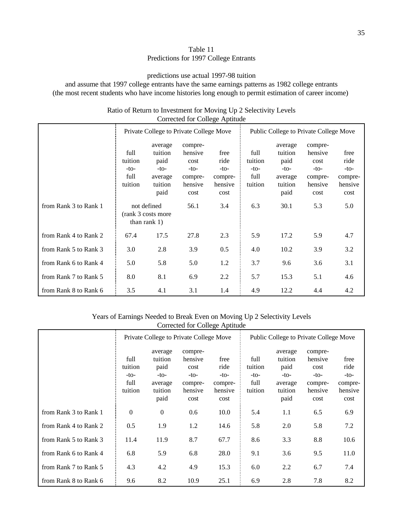## Table 11 Predictions for 1997 College Entrants

## predictions use actual 1997-98 tuition

and assume that 1997 college entrants have the same earnings patterns as 1982 college entrants (the most recent students who have income histories long enough to permit estimation of career income)

## Ratio of Return to Investment for Moving Up 2 Selectivity Levels Corrected for College Aptitude

|                       | Private College to Private College Move    |                                                                    |                                                                     |                                                      | Public College to Private College Move       |                                                                    |                                                                    |                                                       |
|-----------------------|--------------------------------------------|--------------------------------------------------------------------|---------------------------------------------------------------------|------------------------------------------------------|----------------------------------------------|--------------------------------------------------------------------|--------------------------------------------------------------------|-------------------------------------------------------|
|                       | full<br>tuition<br>-to-<br>full<br>tuition | average<br>tuition<br>paid<br>$-to-$<br>average<br>tuition<br>paid | compre-<br>hensive<br>cost<br>$-t$ o-<br>compre-<br>hensive<br>cost | free<br>ride<br>$-to-$<br>compre-<br>hensive<br>cost | full<br>tuition<br>$-to-$<br>full<br>tuition | average<br>tuition<br>paid<br>$-to-$<br>average<br>tuition<br>paid | compre-<br>hensive<br>cost<br>$-to-$<br>compre-<br>hensive<br>cost | free<br>ride<br>$-t$ o-<br>compre-<br>hensive<br>cost |
| from Rank 3 to Rank 1 |                                            | not defined<br>(rank 3 costs more<br>than rank $1$ )               | 56.1                                                                | 3.4                                                  | 6.3                                          | 30.1                                                               | 5.3                                                                | 5.0                                                   |
| from Rank 4 to Rank 2 | 67.4                                       | 17.5                                                               | 27.8                                                                | 2.3                                                  | 5.9                                          | 17.2                                                               | 5.9                                                                | 4.7                                                   |
| from Rank 5 to Rank 3 | 3.0                                        | 2.8                                                                | 3.9                                                                 | 0.5                                                  | 4.0                                          | 10.2                                                               | 3.9                                                                | 3.2                                                   |
| from Rank 6 to Rank 4 | 5.0                                        | 5.8                                                                | 5.0                                                                 | 1.2                                                  | 3.7                                          | 9.6                                                                | 3.6                                                                | 3.1                                                   |
| from Rank 7 to Rank 5 | 8.0                                        | 8.1                                                                | 6.9                                                                 | 2.2                                                  | 5.7                                          | 15.3                                                               | 5.1                                                                | 4.6                                                   |
| from Rank 8 to Rank 6 | 3.5                                        | 4.1                                                                | 3.1                                                                 | 1.4                                                  | 4.9                                          | 12.2                                                               | 4.4                                                                | 4.2                                                   |

## Years of Earnings Needed to Break Even on Moving Up 2 Selectivity Levels Corrected for College Aptitude

|                       | Private College to Private College Move    |                                                                    |                                                                  |                                                      | Public College to Private College Move       |                                                                     |                                                                    |                                                    |
|-----------------------|--------------------------------------------|--------------------------------------------------------------------|------------------------------------------------------------------|------------------------------------------------------|----------------------------------------------|---------------------------------------------------------------------|--------------------------------------------------------------------|----------------------------------------------------|
|                       | full<br>tuition<br>-to-<br>full<br>tuition | average<br>tuition<br>paid<br>$-to-$<br>average<br>tuition<br>paid | compre-<br>hensive<br>cost<br>-to-<br>compre-<br>hensive<br>cost | free<br>ride<br>$-to-$<br>compre-<br>hensive<br>cost | full<br>tuition<br>$-to-$<br>full<br>tuition | average<br>tuition<br>paid<br>$-t$ o-<br>average<br>tuition<br>paid | compre-<br>hensive<br>cost<br>$-to-$<br>compre-<br>hensive<br>cost | free<br>ride<br>-to-<br>compre-<br>hensive<br>cost |
| from Rank 3 to Rank 1 | $\theta$                                   | $\boldsymbol{0}$                                                   | 0.6                                                              | 10.0                                                 | 5.4                                          | 1.1                                                                 | 6.5                                                                | 6.9                                                |
| from Rank 4 to Rank 2 | 0.5                                        | 1.9                                                                | 1.2                                                              | 14.6                                                 | 5.8                                          | 2.0                                                                 | 5.8                                                                | 7.2                                                |
| from Rank 5 to Rank 3 | 11.4                                       | 11.9                                                               | 8.7                                                              | 67.7                                                 | 8.6                                          | 3.3                                                                 | 8.8                                                                | 10.6                                               |
| from Rank 6 to Rank 4 | 6.8                                        | 5.9                                                                | 6.8                                                              | 28.0                                                 | 9.1                                          | 3.6                                                                 | 9.5                                                                | 11.0                                               |
| from Rank 7 to Rank 5 | 4.3                                        | 4.2                                                                | 4.9                                                              | 15.3                                                 | 6.0                                          | 2.2                                                                 | 6.7                                                                | 7.4                                                |
| from Rank 8 to Rank 6 | 9.6                                        | 8.2                                                                | 10.9                                                             | 25.1                                                 | 6.9                                          | 2.8                                                                 | 7.8                                                                | 8.2                                                |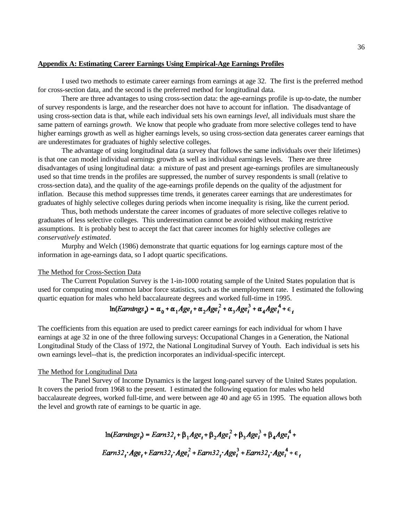## **Appendix A: Estimating Career Earnings Using Empirical-Age Earnings Profiles**

I used two methods to estimate career earnings from earnings at age 32. The first is the preferred method for cross-section data, and the second is the preferred method for longitudinal data.

There are three advantages to using cross-section data: the age-earnings profile is up-to-date, the number of survey respondents is large, and the researcher does not have to account for inflation. The disadvantage of using cross-section data is that, while each individual sets his own earnings *level*, all individuals must share the same pattern of earnings *growth*. We know that people who graduate from more selective colleges tend to have higher earnings growth as well as higher earnings levels, so using cross-section data generates career earnings that are underestimates for graduates of highly selective colleges.

The advantage of using longitudinal data (a survey that follows the same individuals over their lifetimes) is that one can model individual earnings growth as well as individual earnings levels. There are three disadvantages of using longitudinal data: a mixture of past and present age-earnings profiles are simultaneously used so that time trends in the profiles are suppressed, the number of survey respondents is small (relative to cross-section data), and the quality of the age-earnings profile depends on the quality of the adjustment for inflation. Because this method suppresses time trends, it generates career earnings that are underestimates for graduates of highly selective colleges during periods when income inequality is rising, like the current period.

Thus, both methods understate the career incomes of graduates of more selective colleges relative to graduates of less selective colleges. This underestimation cannot be avoided without making restrictive assumptions. It is probably best to accept the fact that career incomes for highly selective colleges are *conservatively estimated*.

Murphy and Welch (1986) demonstrate that quartic equations for log earnings capture most of the information in age-earnings data, so I adopt quartic specifications.

## The Method for Cross-Section Data

The Current Population Survey is the 1-in-1000 rotating sample of the United States population that is used for computing most common labor force statistics, such as the unemployment rate. I estimated the following quartic equation for males who held baccalaureate degrees and worked full-time in 1995.

## $ln(Earnings_i) = \alpha_0 + \alpha_1 Age_i + \alpha_2 Age_i^2 + \alpha_3 Age_i^3 + \alpha_4 Age_i^4 + \epsilon_i$

The coefficients from this equation are used to predict career earnings for each individual for whom I have earnings at age 32 in one of the three following surveys: Occupational Changes in a Generation, the National Longitudinal Study of the Class of 1972, the National Longitudinal Survey of Youth. Each individual is sets his own earnings level--that is, the prediction incorporates an individual-specific intercept.

## The Method for Longitudinal Data

The Panel Survey of Income Dynamics is the largest long-panel survey of the United States population. It covers the period from 1968 to the present. I estimated the following equation for males who held baccalaureate degrees, worked full-time, and were between age 40 and age 65 in 1995. The equation allows both the level and growth rate of earnings to be quartic in age.

$$
\ln(Examples_i) = Earn32_i + \beta_1 Age_i + \beta_2 Age_i^2 + \beta_3 Age_i^3 + \beta_4 Age_i^4 +
$$
  
 
$$
Earn32_i \cdot Age_i + Earn32_i \cdot Age_i^2 + Earn32_i \cdot Age_i^3 + Earn32_i \cdot Age_i^4 + \epsilon_i
$$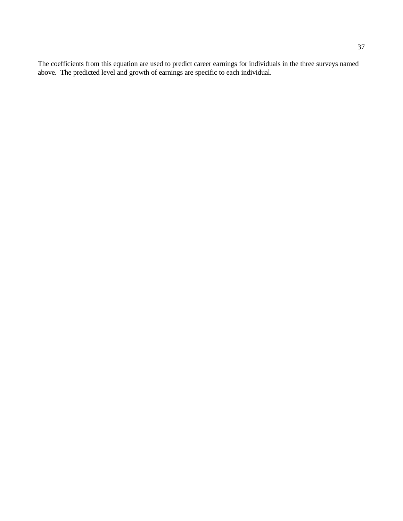The coefficients from this equation are used to predict career earnings for individuals in the three surveys named above. The predicted level and growth of earnings are specific to each individual.